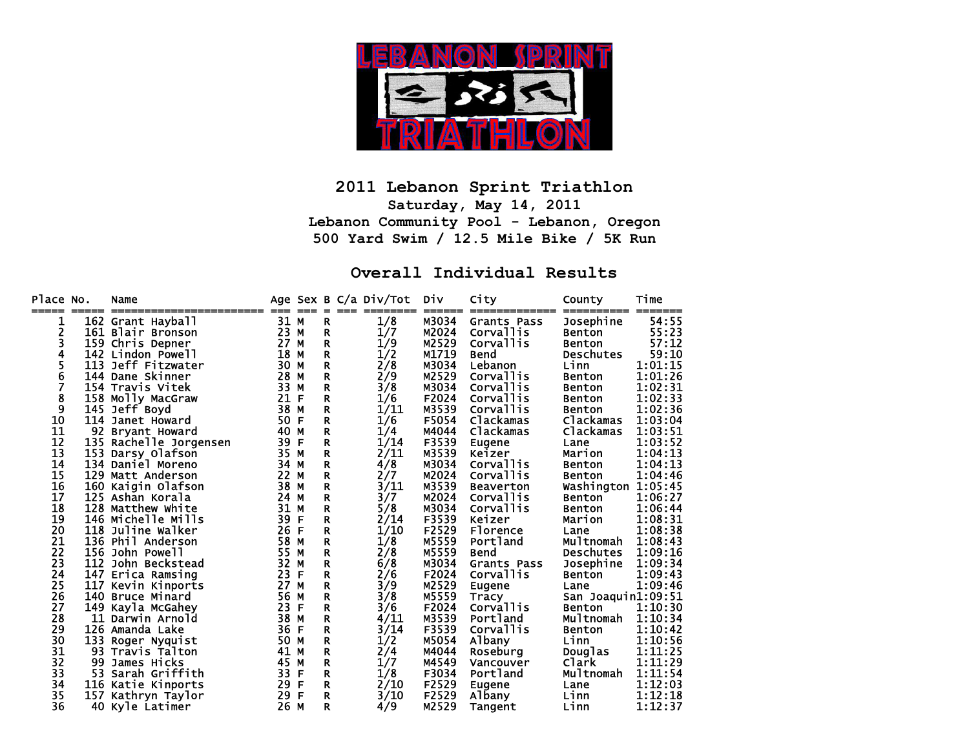

#### **2011 Lebanon Sprint Triathlon Saturday, May 14, 2011 Lebanon Community Pool - Lebanon, Oregon 500 Yard Swim / 12.5 Mile Bike / 5K Run**

#### **Overall Individual Results**

| Place No. |     | Name                   |      |   |              | Age Sex B C/a Div/Tot | Div   | City               | County             | Time    |
|-----------|-----|------------------------|------|---|--------------|-----------------------|-------|--------------------|--------------------|---------|
| ı         |     | 162 Grant Hayball      | 31 M |   | R            | 1/8                   | M3034 | <b>Grants Pass</b> | Josephine          | 54:55   |
| 2         |     | 161 Blair Bronson      | 23 M |   | R            | 1/7                   | M2024 | Corvallis          | <b>Benton</b>      | 55:23   |
| 3         |     | 159 Chris Depner       | 27 M |   | R            | 1/9                   | M2529 | Corvallis          | <b>Benton</b>      | 57:12   |
| 4         |     | 142 Lindon Powell      | 18 M |   | R            | 1/2                   | M1719 | Bend               | <b>Deschutes</b>   | 59:10   |
|           |     | 113 Jeff Fitzwater     | 30 M |   | $\mathbf{R}$ | 2/8                   | M3034 | Lebanon            | Linn               | 1:01:15 |
| 5<br>6    |     | 144 Dane Skinner       | 28 M |   | R            | 2/9                   | M2529 | Corvallis          | <b>Benton</b>      | 1:01:26 |
| 7         |     | 154 Travis Vitek       | 33   | м | R            | 3/8                   | M3034 | Corvallis          | <b>Benton</b>      | 1:02:31 |
| 8         |     | 158 Molly MacGraw      | 21   | F | R            | 1/6                   | F2024 | Corvallis          | <b>Benton</b>      | 1:02:33 |
| 9         |     | 145 Jeff Boyd          | 38   | M | R            | 1/11                  | M3539 | Corvallis          | <b>Benton</b>      | 1:02:36 |
| 10        | 114 | Janet Howard           | 50   | F | R.           | 1/6                   | F5054 | Clackamas          | Clackamas          | 1:03:04 |
| 11        | 92  | <b>Bryant Howard</b>   | 40   | M | R            | 1/4                   | M4044 | Clackamas          | Clackamas          | 1:03:51 |
| 12        |     | 135 Rachelle Jorgensen | 39   | F | R.           | 1/14                  | F3539 | <b>Eugene</b>      | Lane               | 1:03:52 |
| 13        |     | 153 Darsy Olafson      | 35 M |   | R.           | 2/11                  | M3539 | Keizer             | Marion             | 1:04:13 |
| 14        |     | 134 Daniel Moreno      | 34 M |   | R.           | 4/8                   | M3034 | Corvallis          | <b>Benton</b>      | 1:04:13 |
| 15        |     | 129 Matt Anderson      | 22 M |   | R            | 2/7                   | M2024 | Corvallis          | Benton             | 1:04:46 |
| 16        |     | 160 Kaigin Olafson     | 38 M |   | R            | 3/11                  | M3539 | <b>Beaverton</b>   | Washington         | 1:05:45 |
| 17        |     | 125 Ashan Korala       | 24 M |   | R            | 3/7                   | M2024 | Corvallis          | Benton             | 1:06:27 |
| 18        |     | 128 Matthew White      | 31 M |   | R            | 5/8                   | M3034 | Corvallis          | Benton             | 1:06:44 |
| 19        |     | 146 Michelle Mills     | 39   | F | R            | 2/14                  | F3539 | Keizer             | Marion             | 1:08:31 |
| 20        |     | 118 Juline Walker      | 26   | F | R            | 1/10                  | F2529 | <b>Florence</b>    | Lane               | 1:08:38 |
| 21        |     | 136 Phil Anderson      | 58   | M | R            | 1/8                   | M5559 | Portland           | Multnomah          | 1:08:43 |
| 22        |     | 156 John Powell        | 55 M |   | R            | 2/8                   | M5559 | Bend               | <b>Deschutes</b>   | 1:09:16 |
| 23        |     | 112 John Beckstead     | 32 M |   | R            | 6/8                   | M3034 | Grants Pass        | Josephine          | 1:09:34 |
| 24        |     | 147 Erica Ramsing      | 23   | F | R            | 2/6                   | F2024 | <b>Corvallis</b>   | Benton             | 1:09:43 |
| 25        |     | 117 Kevin Kinports     | 27   | M | R            | 379                   | M2529 | Eugene             | Lane               | 1:09:46 |
| 26        |     | 140 Bruce Minard       | 56   | M | R            | 3/8                   | M5559 | Tracy              | San Joaquin1:09:51 |         |
| 27        |     | 149 Kayla McGahey      | 23   | F | R            | 3/6                   | F2024 | <b>Corvallis</b>   | Benton             | 1:10:30 |
| 28        | 11  | Darwin Arnold          | 38   | M | R            | 4/11                  | M3539 | Portland           | Multnomah          | 1:10:34 |
| 29        |     | 126 Amanda Lake        | 36   | F | R            | 3/14                  | F3539 | Corvallis          | Benton             | 1:10:42 |
| 30        | 133 | Roger Nyquist          | 50 M |   | R            | 1/2                   | M5054 | Albany             | Linn               | 1:10:56 |
| 31        | 93  | Travis Talton          | 41 M |   | R.           | 2/4                   | M4044 | Roseburg           | Douglas            | 1:11:25 |
| 32        | 99  | James Hicks            | 45 M |   | R.           | 1/7                   | M4549 | Vancouver          | Clark              | 1:11:29 |
| 33        | 53. | Sarah Griffith         | 33   | F | R            | 1/8                   | F3034 | Portland           | Multnomah          | 1:11:54 |
| 34        |     | 116 Katie Kinports     | 29   | F | R            | 2/10                  | F2529 | <b>Eugene</b>      | Lane               | 1:12:03 |
| 35        | 157 | Kathryn Taylor         | 29   | F | R            | 3/10                  | F2529 | Albany             | Linn               | 1:12:18 |
| 36        |     | 40 Kyle Latimer        | 26 M |   | R            | 4/9                   | M2529 | Tangent            | Linn               | 1:12:37 |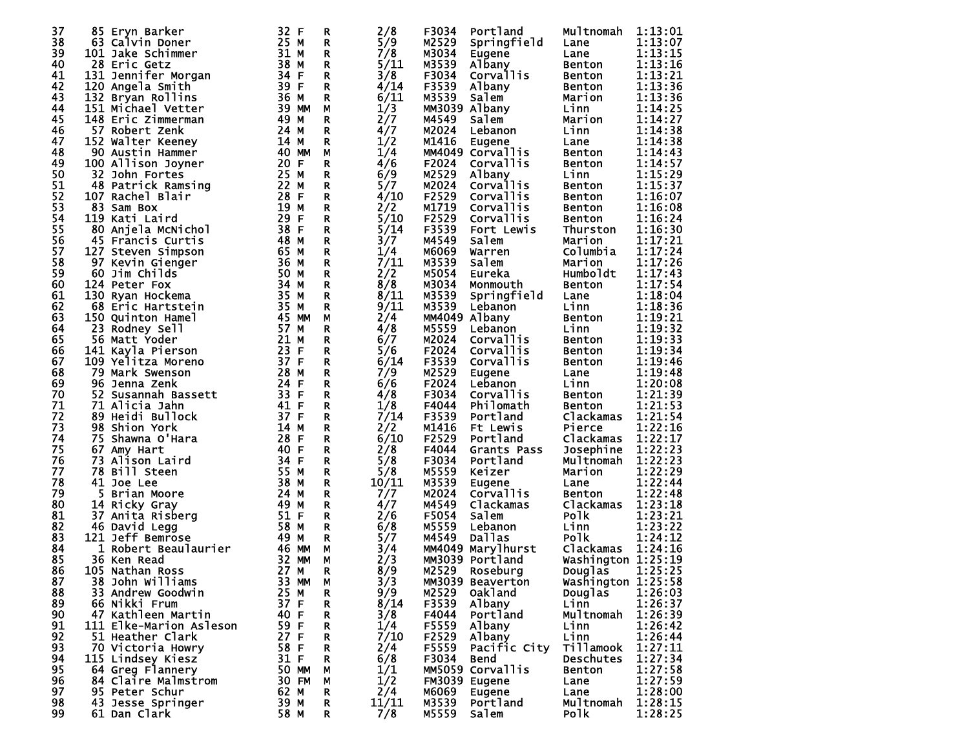| 37 | Eryn Barker<br>85.      | 32 F    | R  | 2/8   | F3034         | Portland          | Multnomah          | 1:13:01 |
|----|-------------------------|---------|----|-------|---------------|-------------------|--------------------|---------|
|    |                         |         |    |       |               |                   |                    |         |
| 38 | 63 Calvin Doner         | 25 M    | R  | 5/9   | M2529         | Springfield       | Lane               | 1:13:07 |
| 39 | 101 Jake Schimmer       | 31 M    | R  | 7/8   | M3034         | <b>Eugene</b>     | Lane               | 1:13:15 |
| 40 | 28 Eric Getz            | 38 M    | R  | 5/11  | M3539         | Albany            | Benton             | 1:13:16 |
| 41 | 131 Jennifer Morgan     | 34 F    | R  | 3/8   | F3034         | Corvallis         | Benton             | 1:13:21 |
| 42 | 120 Angela Smith        | 39 F    | R  | 4/14  | F3539         | Albany            | Benton             | 1:13:36 |
|    |                         |         |    |       |               |                   |                    |         |
| 43 | 132 Bryan Rollins       | 36 M    | R  | 6/11  | M3539         | <b>Salem</b>      | Marion             | 1:13:36 |
| 44 | 151 Michael Vetter      | 39 MM   | М  | 1/3   |               | MM3039 Albany     | Linn               | 1:14:25 |
| 45 | 148 Eric Zimmerman      | 49 M    | R  | 2/7   | M4549         | Salem             | Marion             | 1:14:27 |
| 46 | 57 Robert Zenk          | 24 M    | R  | 4/7   | M2024         | Lebanon           | Linn               | 1:14:38 |
|    |                         |         |    |       |               |                   |                    |         |
| 47 | 152 Walter Keeney       | 14 M    | R  | 1/2   | M1416         | Eugene            | Lane               | 1:14:38 |
| 48 | 90 Austin Hammer        | 40 MM   | М  | 1/4   |               | MM4049 Corvallis  | Benton             | 1:14:43 |
| 49 | 100 Allison Joyner      | 20 F    | R  | 4/6   | F2024         | Corvallis         | Benton             | 1:14:57 |
| 50 | 32 John Fortes          | 25 M    | R  | 6/9   | M2529         | Albany            | Linn               | 1:15:29 |
|    |                         |         |    |       |               |                   |                    |         |
| 51 | 48 Patrick Ramsing      | 22 M    | R  | 5/7   | M2024         | Corvallis         | Benton             | 1:15:37 |
| 52 | 107 Rachel Blair        | 28 F    | R  | 4/10  | F2529         | Corvallis         | Benton             | 1:16:07 |
| 53 | 83 Sam Box              | 19 M    | R  | 2/2   | M1719         | Corvallis         | Benton             | 1:16:08 |
| 54 | 119 Kati Laird          | 29<br>F | R. | 5/10  | F2529         | Corvallis         | Benton             | 1:16:24 |
| 55 | 80 Anjela McNichol      | 38 F    |    | 5/14  | F3539         |                   |                    |         |
|    |                         |         | R  |       |               | Fort Lewis        | Thurston           | 1:16:30 |
| 56 | 45 Francis Curtis       | 48 M    | R  | 3/7   | M4549         | Salem             | Marion             | 1:17:21 |
| 57 | 127 Steven Simpson      | 65 M    | R  | 1/4   | M6069         | Warren            | Columbia           | 1:17:24 |
| 58 | 97 Kevin Gienger        | 36 M    | R  | 7/11  | M3539         | Salem             | Marion             | 1:17:26 |
| 59 | 60 Jim Childs           | 50 M    |    | 2/2   | M5054         |                   | Humboldt           | 1:17:43 |
|    |                         |         | R  |       |               | Eureka            |                    |         |
| 60 | 124 Peter Fox           | 34 M    | R  | 8/8   | M3034         | Monmouth          | Benton             | 1:17:54 |
| 61 | 130 Ryan Hockema        | 35 M    | R  | 8/11  | M3539         | Springfield       | Lane               | 1:18:04 |
| 62 | 68 Eric Hartstein       | 35 M    | R  | 9/11  | M3539         | Lebanon           | Linn               | 1:18:36 |
| 63 |                         | 45 MM   | М  | 2/4   | MM4049 Albany |                   |                    | 1:19:21 |
|    | 150 Quinton Hamel       |         |    |       |               |                   | Benton             |         |
| 64 | 23 Rodney Sell          | 57 M    | R  | 4/8   | M5559         | Lebanon           | Linn               | 1:19:32 |
| 65 | 56 Matt Yoder           | 21 M    | R  | 6/7   | M2024         | Corvallis         | Benton             | 1:19:33 |
| 66 | 141 Kayla Pierson       | 23 F    | R  | 5/6   | F2024         | Corvallis         | Benton             | 1:19:34 |
| 67 | 109 Yelitza Moreno      | 37 F    | R  | 6/14  | F3539         | Corvallis         | Benton             | 1:19:46 |
|    |                         |         |    |       |               |                   |                    |         |
| 68 | 79.<br>Mark Swenson     | 28 M    | R  | 7/9   | M2529         | Eugene            | Lane               | 1:19:48 |
| 69 | 96 Jenna Zenk           | 24<br>F | R  | 6/6   | F2024         | Lebanon           | Linn               | 1:20:08 |
| 70 | 52 Susannah Bassett     | 33 F    | R  | 4/8   | F3034         | Corvallis         | Benton             | 1:21:39 |
| 71 | 71 Alicia Jahn          | 41 F    | R  | 1/8   | F4044         | Philomath         | Benton             | 1:21:53 |
| 72 |                         | 37 F    |    | 7/14  | F3539         | Portland          |                    | 1:21:54 |
|    | 89 Heidi Bullock        |         | R  |       |               |                   | Clackamas          |         |
| 73 | <b>98 Shion York</b>    | 14 M    | R  | 2/2   | M1416         | Ft Lewis          | Pierce             | 1:22:16 |
| 74 | 75 Shawna O'Hara        | 28<br>F | R  | 6/10  | F2529         | Portland          | Clackamas          | 1:22:17 |
| 75 | 67<br>Amy Hart          | 40<br>F | R  | 2/8   | F4044         | Grants Pass       | Josephine          | 1:22:23 |
| 76 | 73 Alison Laird         | 34 F    | R  | 5/8   | F3034         | Portland          | Multnomah          | 1:22:23 |
|    |                         |         |    |       |               |                   |                    |         |
| 77 | 78<br>Bill Steen        | 55 M    | R  | 5/8   | M5559         | Keizer            | Marion             | 1:22:29 |
| 78 | <b>41 Joe Lee</b>       | 38 M    | R  | 10/11 | M3539         | Eugene            | Lane               | 1:22:44 |
| 79 | 5<br>Brian Moore        | 24 M    | R  | 7/7   | M2024         | Corvallis         | Benton             | 1:22:48 |
| 80 | 14 Ricky Gray           | 49 M    | R  | 4/7   | M4549         | Clackamas         | Clackamas          | 1:23:18 |
|    |                         |         |    |       |               |                   |                    |         |
| 81 | 37<br>Anita Risberg     | 51 F    | R  | 2/6   | F5054         | Salem             | <b>Polk</b>        | 1:23:21 |
| 82 | 46 David Legg           | 58 M    | R  | 6/8   | M5559         | Lebanon           | Linn               | 1:23:22 |
| 83 | 121 Jeff Bemrose        | 49 M    | R  | 5/7   | M4549         | Dallas            | <b>Polk</b>        | 1:24:12 |
| 84 | Robert Beaulaurier<br>ı | 46 MM   | М  | 3/4   |               | MM4049 Marylhurst | Clackamas          | 1:24:16 |
|    |                         |         |    |       |               |                   |                    |         |
| 85 | 36 Ken Read             | 32 MM   | М  | 2/3   |               | MM3039 Portland   | Washington 1:25:19 |         |
| 86 | 105 Nathan Ross         | 27 M    | R  | 8/9   | м2529         | Roseburg          | Douglas $1:25:25$  |         |
| 87 | 38 John Williams        | 33 MM   | М  | 3/3   |               | MM3039 Beaverton  | Washington 1:25:58 |         |
| 88 | 33 Andrew Goodwin       | 25 M    | R  | 9/9   | M2529         | <b>Oakland</b>    | <b>Douglas</b>     | 1:26:03 |
|    | 66 Nikki Frum           | 37 F    |    |       |               |                   | Linn               |         |
| 89 |                         |         | R. | 8/14  | F3539         | Albany            |                    | 1:26:37 |
| 90 | 47 Kathleen Martin      | 40 F    | R  | 3/8   | F4044         | Portland          | Multnomah          | 1:26:39 |
| 91 | 111 Elke-Marion Asleson | 59 F    | R  | 1/4   | F5559         | Albany            | Linn               | 1:26:42 |
| 92 | 51 Heather Clark        | 27 F    | R  | 7/10  | F2529         | Albany            | Linn               | 1:26:44 |
| 93 |                         | 58 F    |    | 2/4   | F5559         |                   | Tillamook          | 1:27:11 |
|    | 70 Victoria Howry       |         | R  |       |               | Pacific City      |                    |         |
| 94 | 115 Lindsey Kiesz       | 31 F    | R  | 6/8   | F3034         | Bend              | <b>Deschutes</b>   | 1:27:34 |
| 95 | 64 Greg Flannery        | 50 MM   | М  | 1/1   |               | MM5059 Corvallis  | Benton             | 1:27:58 |
| 96 | 84 Claire Malmstrom     | 30 FM   | М  | 1/2   |               | FM3039 Eugene     | Lane               | 1:27:59 |
| 97 | 95 Peter Schur          | 62 M    | R  | 2/4   | м6069         | Eugene            | Lane               | 1:28:00 |
|    |                         |         |    |       |               |                   |                    |         |
| 98 | 43 Jesse Springer       | 39 M    | R. | 11/11 | M3539         | Portland          | Multnomah          | 1:28:15 |
| 99 | 61 Dan Clark            | 58 M    | R  | 7/8   | M5559         | Salem             | <b>Polk</b>        | 1:28:25 |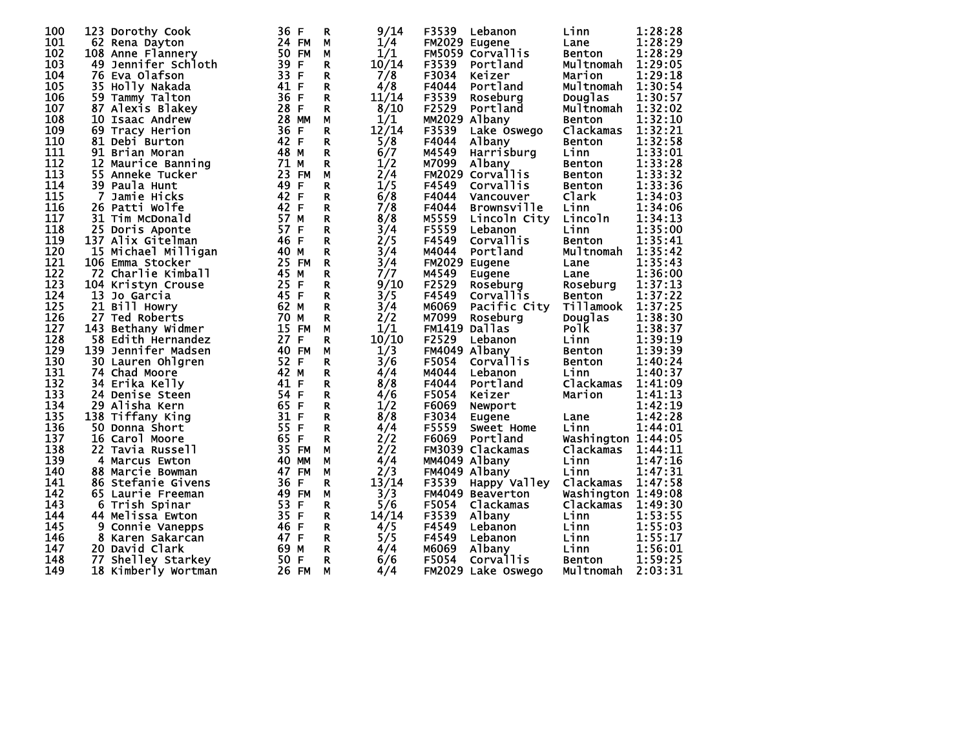| 100 | 123 Dorothy Cook         | 36 F               | R            | 9/14  | F3539         | Lebanon                 | Linn               | 1:28:28 |
|-----|--------------------------|--------------------|--------------|-------|---------------|-------------------------|--------------------|---------|
| 101 | 62 Rena Dayton           | 24 FM              | М            | 1/4   | FM2029 Eugene |                         | Lane               | 1:28:29 |
| 102 | 108 Anne Flannery        | 50 FM              | М            | 1/1   |               | FM5059 Corvallis        | Benton             | 1:28:29 |
| 103 | 49<br>Jennifer Schloth   | 39 F               | R            | 10/14 | F3539         | Portland                | Multnomah          | 1:29:05 |
| 104 | 76 Eva Olafson           | 33<br>F            | R            | 7/8   | F3034         | Keizer                  | Marion             | 1:29:18 |
| 105 | 35 Holly Nakada          | 41 F               | R.           | 4/8   | F4044         | Portland                | Multnomah          | 1:30:54 |
| 106 | 59 Tammy Talton          | 36 F               | R.           | 11/14 | F3539         | Roseburg                | Douglas            | 1:30:57 |
| 107 | 87 Alexis Blakey         | 28 F               | R.           | 8/10  | F2529         | Portland                | Multnomah          | 1:32:02 |
| 108 | 10<br>Isaac Andrew       | 28 MM              | М            | 1/1   | MM2029 Albany |                         | <b>Benton</b>      | 1:32:10 |
| 109 | 69 Tracy Herion          | 36<br>F            | R            | 12/14 | F3539         | Lake Oswego             | Clackamas          | 1:32:21 |
| 110 | 81 Debi Burton           | 42 F               | $\mathbf{R}$ | 5/8   | F4044         | Albany                  | Benton             | 1:32:58 |
| 111 | 91 Brian Moran           | 48 M               | R.           | 6/7   | M4549         | Harrisburg              | Linn               | 1:33:01 |
| 112 | 12 Maurice Banning       | 71 M               | R            | 1/2   | M7099         | Albany                  | Benton             | 1:33:28 |
| 113 |                          |                    |              |       |               | FM2029 Corvallis        |                    |         |
| 114 | 55<br>Anneke Tucker      | 23 FM              | М            | 2/4   |               |                         | Benton             | 1:33:32 |
|     | 39 Paula Hunt            | 49<br>-F           | R            | 1/5   | F4549         | Corvallis               | Benton             | 1:33:36 |
| 115 | <b>7</b><br>Jamie Hicks  | 42 F               | R            | 6/8   | F4044         | Vancouver               | Clark              | 1:34:03 |
| 116 | 26 Patti Wolfe           | 42 F               | R            | 7/8   | F4044         | <b>Brownsville</b>      | Linn               | 1:34:06 |
| 117 | 31 Tim McDonald          | 57 M               | R            | 8/8   | M5559         | Lincoln City            | Lincoln            | 1:34:13 |
| 118 | 25 Doris Aponte          | 57 F               | R.           | 3/4   | F5559         | Lebanon                 | Linn               | 1:35:00 |
| 119 | 137 Alix Gitelman        | 46 F               | R.           | 2/5   | F4549         | <b>Corvallis</b>        | <b>Benton</b>      | 1:35:41 |
| 120 | 15 Michael Milligan      | 40 M               | R.           | 3/4   | M4044         | Portland                | Multnomah          | 1:35:42 |
| 121 | 106 Emma Stocker         | 25 FM              | $\mathbf R$  | 3/4   | FM2029 Eugene |                         | Lane               | 1:35:43 |
| 122 | 72 Charlie Kimball       | 45 M               | R.           | 7/7   | M4549         | <b>Eugene</b>           | Lane               | 1:36:00 |
| 123 | 104 Kristyn Crouse       | 25 F               | R.           | 9/10  | F2529         | Roseburg                | Roseburg           | 1:37:13 |
| 124 | 13<br>Jo Garcia          | 45 F               | R.           | 3/5   | F4549         | Corvallis               | <b>Benton</b>      | 1:37:22 |
| 125 | 21 Bill Howry            | 62 M               | R            | 3/4   | M6069         | Pacific City            | Tillamook          | 1:37:25 |
| 126 | 27 Ted Roberts           | 70 M               | R            | 2/2   | M7099         | Roseburg                | Douglas            | 1:38:30 |
| 127 | 143 Bethany Widmer       | 15 FM              | М            | 1/1   | FM1419 Dallas |                         | <b>Polk</b>        | 1:38:37 |
| 128 | 58 Edith Hernandez       | 27<br>F            | R            | 10/10 | F2529         | Lebanon                 | Linn               | 1:39:19 |
| 129 | 139 Jennifer Madsen      | 40 FM              | M            | 1/3   | FM4049 Albany |                         | Benton             | 1:39:39 |
| 130 | 30 Lauren Ohlgren        | 52 F               | R.           | 3/6   | F5054         | Corvallis               | Benton             | 1:40:24 |
| 131 | 74 Chad Moore            | 42 M               | R.           | 4/4   | M4044         | Lebanon                 | Linn               | 1:40:37 |
| 132 | 34 Erika Kelly           | 41<br>F            | R.           | 8/8   | F4044         | Portland                | Clackamas          | 1:41:09 |
| 133 | 24 Denise Steen          | 54<br>F            | R.           | 4/6   | F5054         | Keizer                  | Marion             | 1:41:13 |
| 134 | 29 Alisha Kern           | 65 F               | R.           | 1/2   | F6069         | Newport                 |                    | 1:42:19 |
| 135 | 138 Tiffany King         | 31<br>F            | R.           | 8/8   | F3034         | <b>Eugene</b>           | Lane               | 1:42:28 |
| 136 | 50 Donna Short           | 55<br>F            | R            | 4/4   | F5559         | Sweet Home              | Linn               | 1:44:01 |
| 137 | 16 Carol Moore           | 65<br>$\mathsf{F}$ | R            | 2/2   | F6069         | Portland                | Washington 1:44:05 |         |
| 138 | 22 Tavia Russell         | 35<br><b>FM</b>    | М            | 2/2   |               | FM3039 Clackamas        | Clackamas          | 1:44:11 |
| 139 | 4<br><b>Marcus Ewton</b> | 40<br><b>MM</b>    | М            | 4/4   | MM4049 Albany |                         | Linn               | 1:47:16 |
| 140 | 88 Marcie Bowman         | 47<br><b>FM</b>    | M            | 2/3   | FM4049 Albany |                         | Linn               | 1:47:31 |
| 141 | 86 Stefanie Givens       | 36<br>F            | R            | 13/14 | F3539         | Happy Valley            | Clackamas          | 1:47:58 |
| 142 | 65 Laurie Freeman        | 49 FM              | М            | 3/3   |               | <b>FM4049 Beaverton</b> | Washington 1:49:08 |         |
| 143 | 6<br>Trish Spinar        | 53<br>F            | R            | 5/6   | F5054         | Clackamas               | Clackamas          | 1:49:30 |
| 144 | 44 Melissa Ewton         | 35 F               | R.           | 14/14 | F3539         | Albany                  | Linn               | 1:53:55 |
| 145 | 9<br>Connie Vanepps      | F<br>46            | R.           | 4/5   | F4549         | Lebanon                 | Linn               | 1:55:03 |
| 146 | 8 Karen Sakarcan         | 47 F               | R.           | 5/5   | F4549         | Lebanon                 | Linn               | 1:55:17 |
| 147 | 20 David Clark           | 69 M               | R            | 4/4   | M6069         |                         | Linn               | 1:56:01 |
| 148 | 77 Shelley Starkey       | 50<br>$\mathsf{F}$ | R.           | 6/6   | F5054         | Albany<br>Corvallis     | <b>Benton</b>      | 1:59:25 |
| 149 | 18 Kimberly Wortman      | 26 FM              | М            | 4/4   |               | FM2029 Lake Oswego      | Multnomah          | 2:03:31 |
|     |                          |                    |              |       |               |                         |                    |         |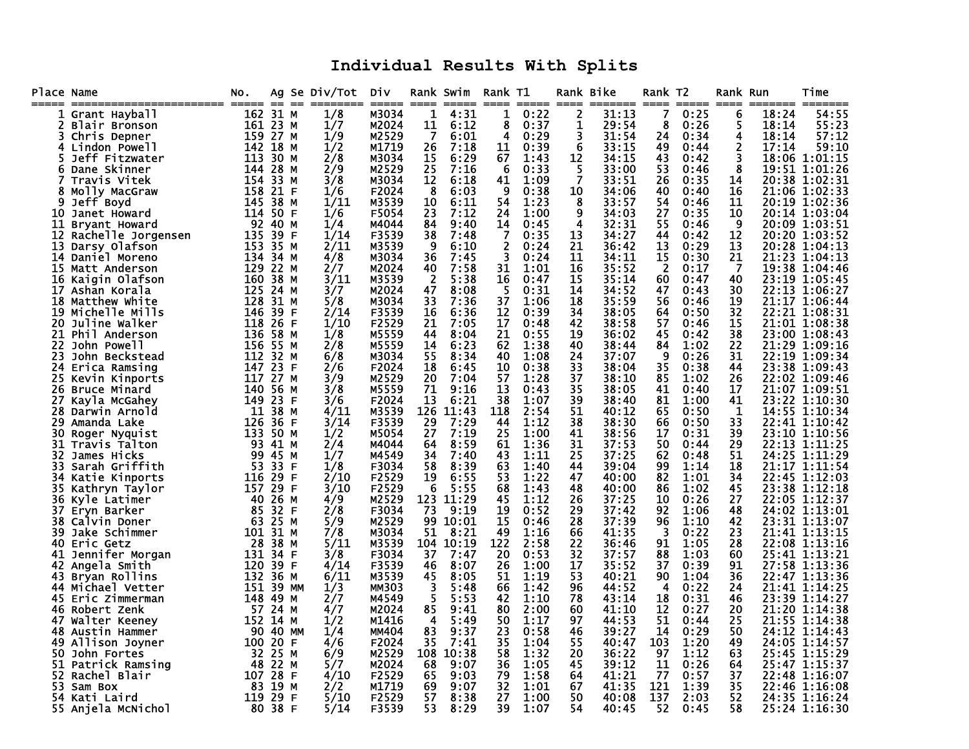## **Individual Results With Splits**

| Place Name |                                  | No. |                  | Ag Se Div/Tot | Div            |           | Rank Swim<br>==== | Rank T1        | $=$ $=$ $=$ $=$ $=$ |          | Rank Bike<br>===== | Rank T <sub>2</sub> | =====        | Rank Run<br>$====$ | ======= | Time                           |
|------------|----------------------------------|-----|------------------|---------------|----------------|-----------|-------------------|----------------|---------------------|----------|--------------------|---------------------|--------------|--------------------|---------|--------------------------------|
|            | 1 Grant Hayball                  |     | 162 31 M         | 1/8           | M3034          | 1         | 4:31              | 1              | 0:22                | 2        | 31:13              | 7                   | 0:25         | 6                  | 18:24   | 54:55                          |
|            | Blair Bronson                    |     | 161 23 M         | 1/7           | M2024          | 11        | 6:12              | 8              | 0:37                | 1        | 29:54              | 8                   | 0:26         | 5                  | 18:14   | 55:23                          |
| 3.         | Chris Depner                     |     | 159 27 M         | 1/9           | M2529          | 7         | 6:01              | 4              | 0:29                | 3        | 31:54              | 24                  | 0:34         | 4                  | 18:14   | 57:12                          |
| 4          | Lindon Powell                    |     | 142 18 M         | 1/2           | M1719          | 26        | 7:18              | 11             | 0:39                | 6        | 33:15              | 49                  | 0:44         | 2                  | 17:14   | 59:10                          |
|            | Jeff Fitzwater                   | 113 | 30 M             | 2/8           | M3034          | 15        | 6:29              | 67             | 1:43                | 12       | 34:15              | 43                  | 0:42         | 3                  |         | 18:06 1:01:15                  |
| 6          | Dane Skinner                     |     | 144 28 M         | 2/9           | M2529          | 25        | 7:16              | 6              | 0:33                | 5        | 33:00              | 53                  | 0:46         | 8                  |         | 19:51 1:01:26                  |
|            | Travis Vitek                     | 154 | 33 M             | 3/8           | M3034          | 12        | 6:18              | 41             | 1:09                | 7        | 33:51              | 26                  | 0:35         | 14                 |         | 20:38 1:02:31                  |
| 8          | Molly MacGraw                    | 158 | 21 F             | 1/6           | F2024          | 8         | 6:03              | 9              | 0:38                | 10       | 34:06              | 40                  | 0:40         | 16                 |         | 21:06 1:02:33                  |
| 9<br>10    | Jeff Boyd                        | 145 | 38 M<br>114 50 F | 1/11          | M3539<br>F5054 | 10<br>23  | 6:11<br>7:12      | 54             | 1:23<br>1:00        | 8<br>9   | 33:57<br>34:03     | 54                  | 0:46<br>0:35 | 11                 |         | 20:19 1:02:36<br>20:14 1:03:04 |
|            | Janet Howard<br>11 Bryant Howard |     | 92 40 M          | 1/6<br>1/4    | M4044          | 84        | 9:40              | 24<br>14       | 0:45                | 4        | 32:31              | 27<br>55            | 0:46         | 10<br>9            |         | 20:09 1:03:51                  |
| 12         | Rachelle Jorgensen               | 135 | 39 F             | 1/14          | F3539          | 38        | 7:48              | 7              | 0:35                | 13       | 34:27              | 44                  | 0:42         | 12                 |         | 20:20 1:03:52                  |
| 13         | Darsy Olafson                    | 153 | 35 M             | 2/11          | M3539          | 9         | 6:10              | $\overline{2}$ | 0:24                | 21       | 36:42              | 13                  | 0:29         | 13                 |         | 20:28 1:04:13                  |
|            | 14 Daniel Moreno                 |     | 134 34 M         | 4/8           | M3034          | 36        | 7:45              | 3              | 0:24                | 11       | 34:11              | 15                  | 0:30         | 21                 |         | 21:23 1:04:13                  |
| 15         | Matt Anderson                    |     | 129 22 M         | 2/7           | M2024          | 40        | 7:58              | 31             | 1:01                | 16       | 35:52              | $\overline{2}$      | 0:17         | 7                  |         | 19:38 1:04:46                  |
| 16         | Kaigin Olafson                   | 160 | 38 M             | 3/11          | M3539          | 2         | 5:38              | 16             | 0:47                | 15       | 35:14              | 60                  | 0:47         | 40                 |         | 23:19 1:05:45                  |
| 17         | Ashan Korala                     | 125 | 24 M             | 3/7           | M2024          | 47        | 8:08              | -5             | 0:31                | 14       | 34:52              | 47                  | 0:43         | 30                 |         | 22:13 1:06:27                  |
| 18         | Matthew White                    | 128 | 31 M             | 5/8           | M3034          | 33        | 7:36              | 37             | 1:06                | 18       | 35:59              | 56                  | 0:46         | 19                 |         | 21:17 1:06:44                  |
| 19         | Michelle Mills                   | 146 | 39 F             | 2/14          | F3539          | 16        | 6:36              | 12             | 0:39                | 34       | 38:05              | 64                  | 0:50         | 32                 |         | 22:21 1:08:31                  |
| 20         | Juline Walker                    |     | 118 26 F         | <b>1/10</b>   | F2529          | 21        | 7:05              | 17             | 0:48                | 42       | 38:58              | 57                  | 0:46         | 15                 |         | 21:01 1:08:38                  |
| 21         | Phil Anderson                    | 136 | 58 M             | 1/8           | M5559          | 44        | 8:04              | 21             | 0:55                | 19       | 36:02              | 45                  | 0:42         | 38                 |         | 23:00 1:08:43                  |
| 22         | John Powell                      | 156 | 55 M             | 2/8           | M5559          | 14        | 6:23              | 62             | 1:38                | 40       | 38:44              | 84                  | 1:02         | 22                 |         | 21:29 1:09:16                  |
| 23         | John Beckstead                   | 112 | 32 M             | 6/8           | M3034          | 55        | 8:34              | 40             | 1:08                | 24       | 37:07              | 9                   | 0:26         | 31                 | 22:19   | 1:09:34                        |
| 24         | Erica Ramsing                    |     | 147 23 F         | 2/6           | F2024          | 18        | 6:45              | 10             | 0:38                | 33       | 38:04              | 35                  | 0:38         | 44                 |         | 23:38 1:09:43                  |
| 25         | Kevin Kinports                   | 117 | 27 M             | 3/9           | M2529          | 20        | 7:04              | 57             | 1:28                | 37       | 38:10              | 85                  | 1:02         | 26                 |         | 22:02 1:09:46                  |
| 26<br>27   | Bruce Minard                     | 140 | 56 M<br>149 23 F | 3/8<br>3/6    | M5559<br>F2024 | 71<br>13  | 9:16<br>6:21      | 13<br>38       | 0:43<br>1:07        | 35<br>39 | 38:05<br>38:40     | 41<br>81            | 0:40<br>1:00 | 17<br>41           |         | 21:07 1:09:51<br>23:22 1:10:30 |
| 28         | Kayla McGahey<br>Darwin Arnold   | 11  | 38 M             | 4/11          | M3539          | 126       | 11:43             | 118            | 2:54                | 51       | 40:12              | 65                  | 0:50         | 1                  |         | 14:55 1:10:34                  |
| 29         | Amanda Lake                      | 126 | 36 F             | 3/14          | F3539          | 29        | 7:29              | 44             | 1:12                | 38       | 38:30              | 66                  | 0:50         | 33                 |         | 22:41 1:10:42                  |
| 30         | Roger Nyquist                    |     | 133 50 M         | 1/2           | M5054          | 27        | 7:19              | 25             | 1:00                | 41       | 38:56              | 17                  | 0:31         | 39                 |         | 23:10 1:10:56                  |
| 31         | Travis Talton                    |     | 93 41 M          | 2/4           | M4044          | 64        | 8:59              | 61             | 1:36                | 31       | 37:53              | 50                  | 0:44         | 29                 |         | 22:13 1:11:25                  |
| 32.        | James Hicks                      |     | 99 45 M          | 1/7           | M4549          | 34        | 7:40              | 43             | 1:11                | 25       | 37:25              | 62                  | 0:48         | 51                 |         | 24:25 1:11:29                  |
| 33         | Sarah Griffith                   | 53  | 33 F             | 1/8           | F3034          | 58        | 8:39              | 63             | 1:40                | 44       | 39:04              | 99                  | 1:14         | 18                 |         | 21:17 1:11:54                  |
| 34         | Katie Kinports                   |     | 116 29 F         | <b>2/10</b>   | F2529          | 19        | 6:55              | 53             | 1:22                | 47       | 40:00              | 82                  | 1:01         | 34                 |         | 22:45 1:12:03                  |
| 35         | Kathryn Taylor                   |     | 157 29 F         | 3/10          | F2529          | 6         | 5:55              | 68             | 1:43                | 48       | 40:00              | 86                  | 1:02         | 45                 |         | 23:38 1:12:18                  |
| 36.        | Kyle Latimer                     |     | 40 26 M          | 4/9           | M2529          | 123       | 11:29             | 45             | 1:12                | 26       | 37:25              | 10                  | 0:26         | 27                 |         | 22:05 1:12:37                  |
|            | 37 Eryn Barker                   |     | 85 32 F          | 2/8           | F3034          | 73        | 9:19              | 19             | 0:52                | 29       | 37:42              | 92                  | 1:06         | 48                 |         | 24:02 1:13:01                  |
| 38         | Calvin Doner                     |     | 63 25 M          | 5/9           | M2529          | 99        | 10:01             | 15             | 0:46                | 28       | 37:39              | 96                  | 1:10         | 42                 |         | 23:31 1:13:07                  |
| 39<br>40   | Jake Schimmer                    |     | 101 31 M         | 7/8<br>5/11   | M3034<br>M3539 | 51        | 8:21              | 49             | 1:16                | 66       | 41:35              | 3<br>91             | 0:22         | 23<br>28           |         | 21:41 1:13:15<br>22:08 1:13:16 |
| 41         | Eric Getz<br>Jennifer Morgan     | 28  | 38 M<br>131 34 F | 3/8           | F3034          | 104<br>37 | 10:19<br>7:47     | 122<br>20      | 2:58<br>0:53        | 22<br>32 | 36:46<br>37:57     | 88                  | 1:05<br>1:03 | 60                 |         | 25:41 1:13:21                  |
| 42         | Angela Smith                     | 120 | 39 F             | 4/14          | F3539          | 46        | 8:07              | 26             | 1:00                | 17       | 35:52              | 37                  | 0:39         | 91                 |         | 27:58 1:13:36                  |
|            | 43 Bryan Rollins                 | 132 | 36 M             | 6/11          | M3539          | 45        | 8:05              | 51             | 1:19                | 53       | 40:21              | 90                  | 1:04         | 36                 |         | 22:47 1:13:36                  |
|            | 44 Michael Vetter                |     | 151 39 MM        | 1/3           | MM303          | 3         | 5:48              | 66             | 1:42                | 96       | 44:52              | 4                   | 0:22         | 24                 |         | 21:41 1:14:25                  |
|            | 45 Eric Zimmerman                |     | 148 49 M         | 2/7           | M4549          | 5         | 5:53              | 42             | 1:10                | 78       | 43:14              | 18                  | 0:31         | 46                 |         | 23:39 1:14:27                  |
| 46         | Robert Zenk                      |     | 57 24 M          | 4/7           | M2024          | 85        | 9:41              | 80             | 2:00                | 60       | 41:10              | 12                  | 0:27         | 20                 | 21:20   | 1:14:38                        |
|            | 47 Walter Keeney                 |     | 152 14 M         | 1/2           | M1416          | 4         | 5:49              | 50             | 1:17                | 97       | 44 : 53            | 51                  | 0:44         | 25                 |         | 21:55 1:14:38                  |
| 48         | Austin Hammer                    |     | 90 40 MM         | 1/4           | <b>MM404</b>   | 83        | 9:37              | 23             | 0:58                | 46       | 39:27              | 14                  | 0:29         | 50                 |         | 24:12 1:14:43                  |
| 49         | Allison Joyner                   |     | 100 20 F         | 4/6           | F2024          | 35        | 7:41              | 35             | 1:04                | 55       | 40:47              | 103                 | 1:20         | 49                 |         | 24:05 1:14:57                  |
| 50.        | John Fortes                      |     | 32 25 M          | 6/9           | M2529          | 108       | 10:38             | 58             | 1:32                | 20       | 36:22              | 97                  | 1:12         | 63                 | 25:45   | 1:15:29                        |
| 51         | Patrick Ramsing                  |     | 48 22 M          | 5/7           | M2024          | 68        | 9:07              | 36             | 1:05                | 45       | 39:12              | 11                  | 0:26         | 64                 |         | 25:47 1:15:37                  |
| 52.<br>53. | Rachel Blair                     | 83  | 107 28 F<br>19 M | 4/10<br>2/2   | F2529<br>M1719 | 65<br>69  | 9:03<br>9:07      | 79<br>32       | 1:58<br>1:01        | 64<br>67 | 41:21<br>41:35     | 77<br>121           | 0:57<br>1:39 | 37<br>35           |         | 22:48 1:16:07<br>22:46 1:16:08 |
|            | Sam Box<br>54 Kati Laird         |     | 119 29 F         | <b>5/10</b>   | F2529          | 57        | 8:38              | 27             | 1:00                | 50       | 40:08              | 137                 | 2:03         | 52                 |         | 24:35 1:16:24                  |
|            | 55 Aniela McNichol               |     | 80 38 F          | 5/14          | F3539          | 53        | 8:29              | 39             | 1:07                | 54       | 40:45              | 52                  | 0:45         | 58                 |         | 25:24 1:16:30                  |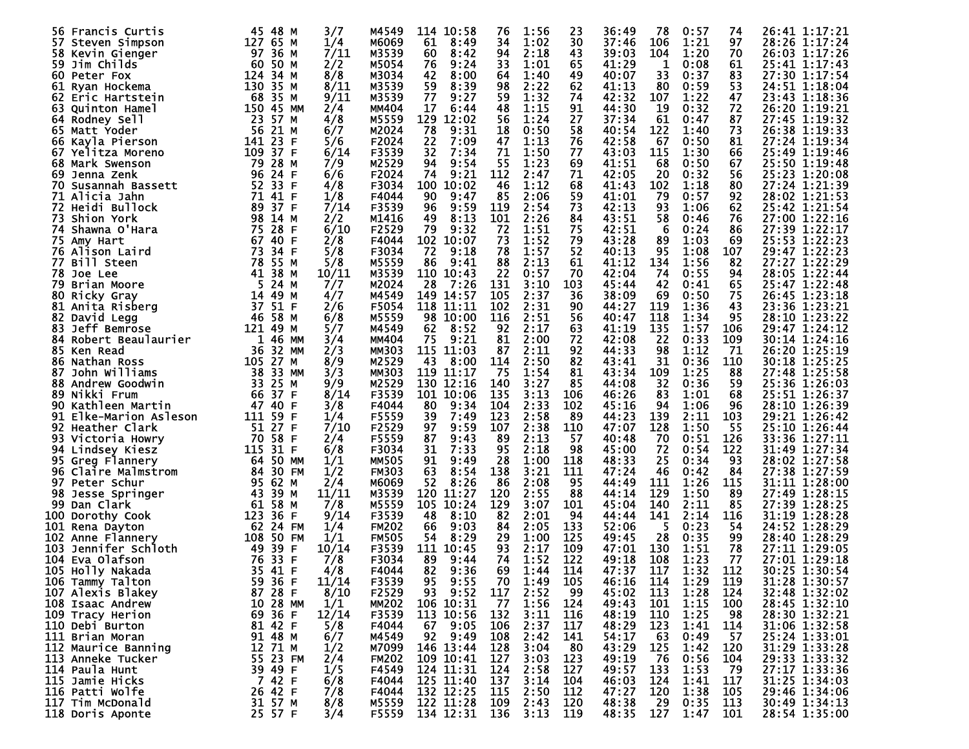| <b>56 Francis Curtis</b> | 45 48 M   | 3/7         | M4549             | 114 10:58     | 76  | 1:56 | 23  | 36:49   | 78          | 0:57 | 74  | 26:41 1:17:21    |
|--------------------------|-----------|-------------|-------------------|---------------|-----|------|-----|---------|-------------|------|-----|------------------|
| 57.<br>Steven Simpson    | 127 65 M  | 1/4         | M6069             | 61<br>8:49    | 34  | 1:02 | 30  | 37:46   | 106         | 1:21 | 97  | 28:26 1:17:24    |
|                          | 97 36 M   |             |                   |               | 94  |      |     |         |             |      | 70  |                  |
| 58 Kevin Gienger         |           | 7/11        | M3539             | 8:42<br>60    |     | 2:18 | 43  | 39:03   | 104         | 1:20 |     | 26:03 1:17:26    |
| 59.<br>Jim Childs        | 60 50 M   | 2/2         | M5054             | 9:24<br>76    | 33  | 1:01 | 65  | 41:29   | 1           | 0:08 | 61  | 25:41 1:17:43    |
| 60.<br>Peter Fox         | 124 34 M  | 8/8         | M3034             | 42<br>8:00    | 64  | 1:40 | 49  | 40:07   | 33          | 0:37 | 83  | 27:30 1:17:54    |
|                          |           |             |                   |               |     |      |     |         |             |      |     |                  |
| 61<br>Ryan Hockema       | 130 35 M  | 8/11        | M3539             | 59<br>8:39    | 98  | 2:22 | 62  | 41:13   | 80          | 0:59 | 53  | 24:51 1:18:04    |
| 62<br>Eric Hartstein     | 68 35 M   | 9/11        | M3539             | 77<br>9:27    | 59  | 1:32 | 74  | 42:32   | 107         | 1:22 | 47  | 23:43 1:18:36    |
|                          |           |             | <b>MM404</b>      |               |     | 1:15 |     |         |             |      |     |                  |
| 63.<br>Quinton Hamel     | 150 45 MM | 2/4         |                   | 17<br>6:44    | 48  |      | 91  | 44:30   | 19          | 0:32 | 72  | 26:20 1:19:21    |
| 64.<br>Rodney Sell       | 23 57 M   | 4/8         | M5559             | 129<br>12:02  | 56  | 1:24 | 27  | 37:34   | 61          | 0:47 | 87  | 27:45 1:19:32    |
| 65 Matt Yoder            | 56 21 M   | 6/7         | M2024             | 78<br>9:31    | 18  | 0:50 | 58  | 40:54   | 122         | 1:40 | 73  | 26:38 1:19:33    |
|                          |           |             |                   |               |     |      |     |         |             |      |     |                  |
| 66 Kayla Pierson         | 141 23 F  | 5/6         | F2024             | 22<br>7:09    | 47  | 1:13 | 76  | 42:58   | 67          | 0:50 | 81  | 27:24 1:19:34    |
| 67<br>Yelitza Moreno     | 109 37 F  | 6/14        | F3539             | 32<br>7:34    | 71  | 1:50 | 77  | 43:03   | 115         | 1:30 | 66  | 25:49 1:19:46    |
|                          |           |             |                   | 94            | 55  |      |     |         | 68          |      | 67  |                  |
| 68 Mark Swenson          | 79 28 M   | 7/9         | M2529             | 9:54          |     | 1:23 | 69  | 41:51   |             | 0:50 |     | 25:50 1:19:48    |
| Jenna Zenk<br>69         | 96 24 F   | 6/6         | F2024             | 9:21<br>74    | 112 | 2:47 | 71  | 42:05   | 20          | 0:32 | 56  | 25:23 1:20:08    |
| 70<br>Susannah Bassett   | 52 33 F   | 4/8         | F3034             | 100<br>10:02  | 46  | 1:12 | 68  | 41:43   | 102         | 1:18 | 80  | 27:24 1:21:39    |
|                          |           |             |                   |               |     |      |     |         |             |      |     |                  |
| 71 Alicia Jahn           | 71 41 F   | 1/8         | F4044             | 9:47<br>90    | 85  | 2:06 | 59  | 41:01   | 79          | 0:57 | 92  | 28:02 1:21:53    |
| <b>72 Heidi Bullock</b>  | 89 37 F   | 7/14        | F3539             | 9:59<br>96    | 119 | 2:54 | 73  | 42:13   | 93          | 1:06 | 62  | 25:42 1:21:54    |
| <b>73 Shion York</b>     | 98 14 M   | 2/2         | M1416             | 8:13<br>49    | 101 | 2:26 | 84  | 43:51   | 58          | 0:46 | 76  | 27:00 1:22:16    |
|                          |           |             |                   |               |     |      |     |         |             |      |     |                  |
| Shawna O'Hara<br>74.     | 75 28 F   | 6/10        | F <sub>2529</sub> | 79<br>9:32    | 72  | 1:51 | 75  | 42:51   | 6           | 0:24 | 86  | 27:39 1:22:17    |
| 75 Amy Hart              | 67 40 F   | 2/8         | F4044             | 102 10:07     | 73  | 1:52 | 79  | 43:28   | 89          | 1:03 | 69  | 25:53 1:22:23    |
|                          | 73 34 F   | 5/8         | F3034             | 72            | 78  | 1:57 | 52  |         | 95          |      |     |                  |
| 76 Alison Laird          |           |             |                   | 9:18          |     |      |     | 40:13   |             | 1:08 | 107 | 29:47 1:22:23    |
| 77 Bill Steen            | 78 55 M   | 5/8         | M5559             | 9:41<br>86    | 88  | 2:13 | 61  | 41:12   | 134         | 1:56 | 82  | 27:27 1:22:29    |
| 78 Joe Lee               | 41 38 M   | 10/11       | M3539             | 110<br>10:43  | 22  | 0:57 | 70  | 42:04   | 74          | 0:55 | 94  | 28:05 1:22:44    |
|                          |           |             |                   |               |     |      |     |         |             |      |     |                  |
| 79.<br>Brian Moore       | 5 24 M    | 7/7         | M2024             | 28<br>7:26    | 131 | 3:10 | 103 | 45:44   | 42          | 0:41 | 65  | 25:47 1:22:48    |
| 80<br>Ricky Gray         | 14 49 M   | 4/7         | M4549             | 149<br>14:57  | 105 | 2:37 | 36  | 38:09   | 69          | 0:50 | 75  | 26:45 1:23:18    |
| 81<br>Anita Risberg      | 37 51 F   | 2/6         | F5054             | 118<br>11:11  | 102 | 2:31 | 90  | 44:27   | 119         | 1:36 | 43  | 23:36 1:23:21    |
|                          |           |             |                   |               |     |      |     |         |             |      |     |                  |
| 82<br>David Legg         | 46 58 M   | 6/8         | M5559             | 98<br>10:00   | 116 | 2:51 | 56  | 40:47   | 118         | 1:34 | 95  | 28:10 1:23:22    |
| Jeff Bemrose<br>83.      | 121 49 M  | 5/7         | M4549             | 8:52<br>62    | 92  | 2:17 | 63  | 41:19   | 135         | 1:57 | 106 | 29:47 1:24:12    |
| 84                       |           | 1 46 MM     | <b>MM404</b>      | 75            |     |      | 72  | 42:08   | 22          | 0:33 | 109 |                  |
| Robert Beaulaurier       |           | 3/4         |                   | 9:21          | 81  | 2:00 |     |         |             |      |     | 30:14 1:24:16    |
| 85.<br>Ken Read          | 36 32 MM  | 2/3         | <b>MM303</b>      | 115<br>11:03  | 87  | 2:11 | 92  | 44:33   | 98          | 1:12 | -71 | 26:20 1:25:19    |
| 86<br>Nathan Ross        | 105 27 M  | 8/9         | M2529             | 8:00<br>43    | 114 | 2:50 | 82  | 43:41   | 31          | 0:36 | 110 | 30:18 1:25:25    |
|                          |           |             |                   |               |     |      |     |         |             |      |     |                  |
| John Williams<br>87      | 38 33 MM  | 3/3         | <b>MM303</b>      | 119<br>11:17  | 75  | 1:54 | 81  | 43:34   | 109         | 1:25 | 88  | 27:48 1:25:58    |
| 88.<br>Andrew Goodwin    | 33 25 M   | 9/9         | M2529             | 130<br>12:16  | 140 | 3:27 | 85  | 44:08   | 32          | 0:36 | 59  | 25:36 1:26:03    |
| 89.<br>Nikki Frum        | 66 37 F   | 8/14        | F3539             | 101 10:06     | 135 | 3:13 | 106 | 46:26   | 83          | 1:01 | 68  | 25:51 1:26:37    |
|                          |           |             |                   |               |     |      |     |         |             |      |     |                  |
| 90<br>Kathleen Martin    | 47 40 F   | 3/8         | F4044             | 9:34<br>80    | 104 | 2:33 | 102 | 45:16   | 94          | 1:06 | 96  | 28:10 1:26:39    |
| 91 Elke-Marion Asleson   | 111 59 F  | 1/4         | F5559             | 7:49<br>39    | 123 | 2:58 | -89 | 44:23   | 139         | 2:11 | 103 | 29:21 1:26:42    |
| 92 Heather Clark         | 51 27 F   | 7/10        | F2529             | 9:59<br>97    | 107 | 2:38 | 110 | 47:07   | 128         | 1:50 | -55 | 25:10 1:26:44    |
|                          |           |             |                   |               |     |      |     |         |             |      |     |                  |
| 93 Victoria Howry        | 70        | 58 F<br>2/4 | F5559             | 87<br>9:43    | 89  | 2:13 | 57  | 40:48   | 70          | 0:51 | 126 | 33:36 1:27:11    |
| 94<br>Lindsey Kiesz      | 115       | 31 F<br>6/8 | F3034             | 31<br>7:33    | 95  | 2:18 | 98  | 45:00   | 72          | 0:54 | 122 | 31:49<br>1:27:34 |
| 95 Greg Flannery         | 64 50 MM  | 1/1         | <b>MM505</b>      | 9:49<br>91    | 28  | 1:00 | 118 | 48:33   | 25          | 0:34 | 93  | 28:02 1:27:58    |
|                          |           |             |                   |               |     |      |     |         |             |      |     |                  |
| 96.<br>Claire Malmstrom  | 84 30 FM  | 1/2         | <b>FM303</b>      | 63<br>8:54    | 138 | 3:21 | 111 | 47:24   | 46          | 0:42 | 84  | 27:38 1:27:59    |
| 97<br>Peter Schur        | 95 62 M   | 2/4         | M6069             | 8:26<br>52    | 86  | 2:08 | 95  | 44:49   | <u> 111</u> | 1:26 | 115 | 31:11 1:28:00    |
| 98                       | 43 39 M   | 11/11       | M3539             | 120<br>11:27  | 120 | 2:55 | 88  | 44 : 14 | 129         | 1:50 | 89  | 27:49<br>1:28:15 |
| Jesse Springer           |           |             |                   |               |     |      |     |         |             |      |     |                  |
| 99<br>Dan Clark          | 61 58 M   | 7/8         | M5559             | 105<br>10:24  | 129 | 3:07 | 101 | 45:04   | 140         | 2:11 | 85  | 27:39 1:28:25    |
| 100<br>Dorothy Cook      | 123 36 F  | 9/14        | F3539             | 8:10<br>48    | 82  | 2:01 | -94 | 44:44   | 141         | 2:14 | 116 | 31:19<br>1:28:28 |
|                          | 62 24 FM  | 1/4         | <b>FM202</b>      | 9:03<br>66    | 84  | 2:05 | 133 | 52:06   | 5           | 0:23 | 54  | 24:52 1:28:29    |
| 101 Rena Dayton          |           |             |                   |               |     |      |     |         |             |      |     |                  |
| 102<br>Anne Flannery     | 108 50 FM | 1/1         | <b>FM505</b>      | 8:29<br>54    | 29  | 1:00 | 125 | 49:45   | 28          | 0:35 | 99  | 28:40<br>1:28:29 |
| 103.<br>Jennifer Schloth | 49 39     | 10/14<br>F  | F3539             | 111<br>10:45  | 93  | 2:17 | 109 | 47:01   | 130         | 1:51 | 78  | 27:11 1:29:05    |
|                          | 76 33 F   |             |                   |               |     |      |     |         |             |      |     |                  |
| 104 Eva Olafson          |           | 7/8         | F3034             | 89<br>9:44    | 74  | 1:52 | 122 | 49:18   | 108         | 1:23 | 77  | 27:01 1:29:18    |
| 105 Holly Nakada         | 35 41 F   | 4/8         | F4044             | 82<br>9:36    | 69  | 1:44 | 114 | 47:37   | 117         | 1:32 | 112 | 30:25 1:30:54    |
| 106 Tammy Talton         | 59 36 F   | 11/14       | F3539             | 9:55<br>95    | 70  | 1:49 | 105 | 46:16   | 114         | 1:29 | 119 | 31:28 1:30:57    |
|                          |           |             |                   |               |     |      |     |         |             |      |     |                  |
| 107 Alexis Blakey        | 87 28 F   | 8/10        | F2529             | 93<br>9:52    | 117 | 2:52 | 99  | 45:02   | 113         | 1:28 | 124 | 32:48 1:32:02    |
| 108 Isaac Andrew         | 10 28 MM  | 1/1         | <b>MM202</b>      | 106 10:31     | -77 | 1:56 | 124 | 49:43   | 101         | 1:15 | 100 | 28:45 1:32:10    |
| 109 Tracy Herion         | 69 36 F   | 12/14       | F3539             | 113 10:56     | 132 | 3:11 | 116 | 48:19   | 110         | 1:25 | 98  | 28:30 1:32:21    |
|                          |           |             |                   |               |     |      |     |         |             |      |     |                  |
| 110 Debi Burton          | 81 42 F   | 5/8         | F4044             | 9:05<br>67    | 106 | 2:37 | 117 | 48:29   | 123         | 1:41 | 114 | 31:06 1:32:58    |
| 111 Brian Moran          | 91 48 M   | 6/7         | M4549             | 92 9:49       | 108 | 2:42 | 141 | 54:17   | 63          | 0:49 | -57 | 25:24 1:33:01    |
| 112 Maurice Banning      | 12 71 M   | 1/2         | M7099             | 146 13:44     | 128 | 3:04 | -80 | 43:29   | 125         | 1:42 | 120 | 31:29 1:33:28    |
|                          |           |             |                   |               |     |      |     |         |             |      |     |                  |
| 113 Anneke Tucker        | 55 23 FM  | 2/4         | <b>FM202</b>      | 109 10:41     | 127 | 3:03 | 123 | 49:19   | - 76        | 0:56 | 104 | 29:33 1:33:32    |
| 114 Paula Hunt           | 39 49 F   | 1/5         | F4549             | 124 11:31     | 124 | 2:58 | 127 | 49:57   | 133         | 1:53 | -79 | 27:17 1:33:36    |
| 115 Jamie Hicks          | 7 42 F    |             | F4044             |               | 137 | 3:14 | 104 | 46:03   | 124         | 1:41 | 117 | 31:25 1:34:03    |
|                          |           | 6/8         |                   | 125 11:40     |     |      |     |         |             |      |     |                  |
| 116 Patti Wolfe          | 26 42 F   | 7/8         | F4044             | 132 12:25     | 115 | 2:50 | 112 | 47:27   | 120         | 1:38 | 105 | 29:46 1:34:06    |
| 117 Tim McDonald         | 31 57 M   | 8/8         | M5559             | 122 11:28     | 109 | 2:43 | 120 | 48:38   | - 29        | 0:35 | 113 | 30:49 1:34:13    |
|                          | 25 57 F   | 3/4         | F5559             | 134 12:31 136 |     | 3:13 | 119 | 48:35   | 127         | 1:47 | 101 | 28:54 1:35:00    |
| 118 Doris Aponte         |           |             |                   |               |     |      |     |         |             |      |     |                  |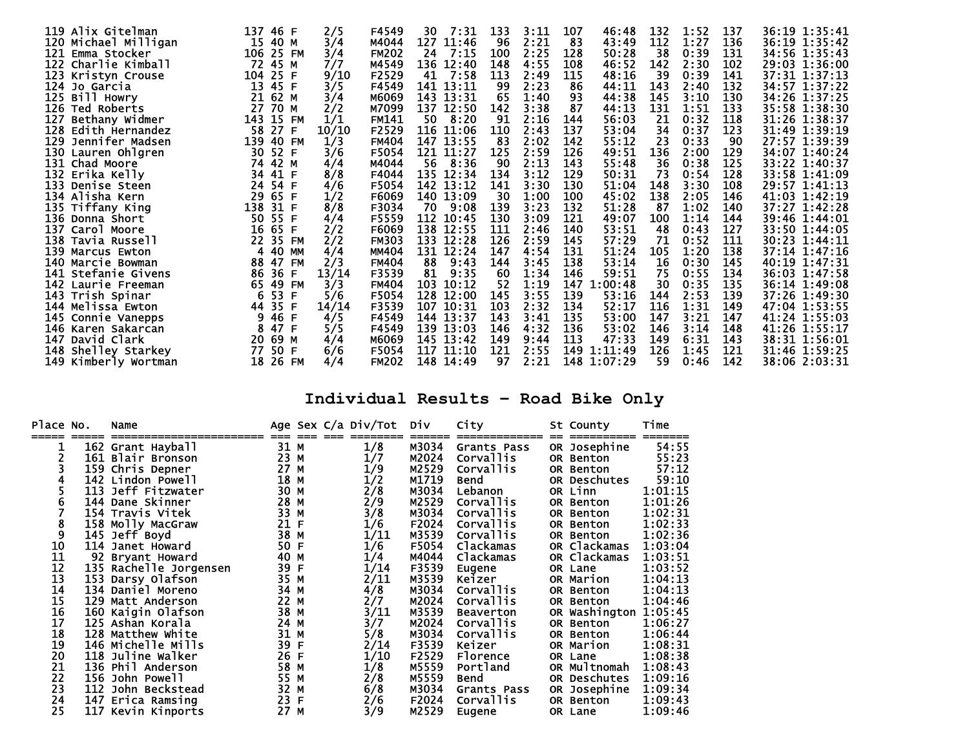| 119 Alix Gitelman       | 137 46 F                | 2/5   | F4549        | 7:31<br>30   | 133 | 3:11 | 107<br>46:48   | 132 | 1:52 | 137         | 36:19 1:35:41 |
|-------------------------|-------------------------|-------|--------------|--------------|-----|------|----------------|-----|------|-------------|---------------|
| 120 Michael Milligan    | 15 40 M                 | 3/4   | M4044        | 127 11:46    | 96  | 2:21 | 83<br>43:49    | 112 | 1:27 | 136         | 36:19 1:35:42 |
| 121.<br>Emma Stocker    | 106 25 FM               | 3/4   | <b>FM202</b> | 7:15<br>24   | 100 | 2:25 | 128<br>50:28   | 38  | 0:39 | 131         | 34:56 1:35:43 |
| 122 Charlie Kimball     | 72<br>45 M              | 7/7   | M4549        | 136 12:40    | 148 | 4:55 | 108<br>46:52   | 142 | 2:30 | 102         | 29:03 1:36:00 |
| 123 Kristyn Crouse      | 104 25 F                | 9/10  | F2529        | 7:58<br>41   | 113 | 2:49 | 115<br>48:16   | 39  | 0:39 | 141         | 37:31 1:37:13 |
| 124 Jo Garcia           | 13<br>45 F              | 3/5   | F4549        | 141 13:11    | -99 | 2:23 | 86<br>44:11    | 143 | 2:40 | 132         | 34:57 1:37:22 |
| 125 Bill Howry          | 21<br>62 M              | 3/4   | M6069        | 143 13:31    | 65  | 1:40 | 93<br>44:38    | 145 | 3:10 | 130         | 34:26 1:37:25 |
| 126<br>Ted Roberts      | 27<br>70 M              | 2/2   | M7099        | 137 12:50    | 142 | 3:38 | 87<br>44:13    | 131 | 1:51 | 133         | 35:58 1:38:30 |
| 127<br>Bethany Widmer   | 143<br>15 FM            | 1/1   | <b>FM141</b> | 50<br>8:20   | 91  | 2:16 | 144<br>56:03   | 21  | 0:32 | 118         | 31:26 1:38:37 |
| 128.<br>Edith Hernandez | 58<br>27<br>F           | 10/10 | F2529        | 116<br>11:06 | 110 | 2:43 | 137<br>53:04   | 34  | 0:37 | 123         | 31:49 1:39:19 |
| 129 Jennifer Madsen     | 139<br>40 FM            | 1/3   | <b>FM404</b> | 147 13:55    | 83  | 2:02 | 142<br>55:12   | 23  | 0:33 | 90          | 27:57 1:39:39 |
| 130 Lauren Ohlgren      | 30<br>52 F              | 3/6   | F5054        | 121 11:27    | 125 | 2:59 | 126<br>49:51   | 136 | 2:00 | 129         | 34:07 1:40:24 |
| 131 Chad Moore          | 42 M<br>74              | 4/4   | M4044        | 8:36<br>56   | 90  | 2:13 | 143<br>55:48   | 36  | 0:38 | 125         | 33:22 1:40:37 |
| 132 Erika Kelly         | 34<br>41 F              | 8/8   | F4044        | 135 12:34    | 134 | 3:12 | 129<br>50:31   | 73  | 0:54 | 128         | 33:58 1:41:09 |
| 133 Denise Steen        | 54<br>24<br>F           | 4/6   | F5054        | 142 13:12    | 141 | 3:30 | 130<br>51:04   | 148 | 3:30 | 108         | 29:57 1:41:13 |
| 134 Alisha Kern         | 29<br>65 F              | 1/2   | F6069        | 140 13:09    | 30  | 1:00 | 100<br>45:02   | 138 | 2:05 | 146         | 41:03 1:42:19 |
| 135 Tiffany King        | 138<br>31 F             | 8/8   | F3034        | 70<br>9:08   | 139 | 3:23 | 132<br>51:28   | -87 | 1:02 | 140         | 37:27 1:42:28 |
| 136 Donna Short         | 50<br>55 F              | 4/4   | F5559        | 112 10:45    | 130 | 3:09 | 121<br>49:07   | 100 | 1:14 | 144         | 39:46 1:44:01 |
| 137 Carol Moore         | 16<br>65 F              | 2/2   | F6069        | 138 12:55    | 111 | 2:46 | 140<br>53:51   | -48 | 0:43 | 127         | 33:50 1:44:05 |
| 138 Tavia Russell       | 22<br>35 FM             | 2/2   | <b>FM303</b> | 133 12:28    | 126 | 2:59 | 145<br>57:29   | 71  | 0:52 | 111         | 30:23 1:44:11 |
| 139 Marcus Ewton        | 40 MM<br>$\overline{4}$ | 4/4   | MM404        | 131 12:24    | 147 | 4:54 | 131<br>51:24   | 105 | 1:20 | 138         | 37:14 1:47:16 |
| 140 Marcie Bowman       | 88<br>47<br><b>FM</b>   | 2/3   | <b>FM404</b> | 88<br>9:43   | 144 | 3:45 | 138<br>53:14   | 16  | 0:30 | 145         | 40:19 1:47:31 |
| 141 Stefanie Givens     | 86<br>36 F              | 13/14 | F3539        | 81<br>9:35   | 60  | 1:34 | 146<br>59:51   | 75  | 0:55 | 134         | 36:03 1:47:58 |
| 142 Laurie Freeman      | 49 FM<br>65             | 3/3   | <b>FM404</b> | 103<br>10:12 | 52  | 1:19 | 147<br>1:00:48 | 30  | 0:35 | 135         | 36:14 1:49:08 |
| 143 Trish Spinar        | 53<br>6<br>F            | 5/6   | F5054        | 128 12:00    | 145 | 3:55 | 139<br>53:16   | 144 | 2:53 | 139         | 37:26 1:49:30 |
| 144 Melissa Ewton       | 35 F<br>44              | 14/14 | F3539        | 107<br>10:31 | 103 | 2:32 | 134<br>52:17   | 116 | 1:31 | 149         | 47:04 1:53:55 |
| 145 Connie Vanepps      | 46 F<br>9.              | 4/5   | F4549        | 144 13:37    | 143 | 3:41 | 135<br>53:00   | 147 | 3:21 | 147         | 41:24 1:55:03 |
| 146 Karen Sakarcan      | 47 F<br>8               | 5/5   | F4549        | 139 13:03    | 146 | 4:32 | 136<br>53:02   | 146 | 3:14 | 148         | 41:26 1:55:17 |
| David Clark<br>147      | 20<br>69 M              | 4/4   | M6069        | 145 13:42    | 149 | 9:44 | 113<br>47:33   | 149 | 6:31 | 143         | 38:31 1:56:01 |
| 148<br>Shelley Starkey  | 50 F<br>77              | 6/6   | F5054        | 117<br>11:10 | 121 | 2:55 | 149 1:11:49    | 126 | 1:45 | <u> 121</u> | 31:46 1:59:25 |
| 149 Kimberly Wortman    | 26 FM<br>18             | 4/4   | <b>FM202</b> | 148 14:49    | 97  | 2:21 | 148 1:07:29    | 59  | 0:46 | 142         | 38:06 2:03:31 |

## **Individual Results – Road Bike Only**

| Place No.      | Name                   |      |   | Age Sex C/a Div/Tot | Div   | City             | St County           | Time    |
|----------------|------------------------|------|---|---------------------|-------|------------------|---------------------|---------|
|                | 162 Grant Hayball      | 31   | м | 1/8                 | M3034 | Grants Pass      | OR Josephine        | 54:55   |
|                | 161 Blair Bronson      | 23 M |   | 1/7                 | M2024 | Corvallis        | OR Benton           | 55:23   |
|                | 159 Chris Depner       | 27 M |   | 1/9                 | M2529 | Corvallis        | OR Benton           | 57:12   |
|                | 142 Lindon Powell      | 18 M |   | 1/2                 | M1719 | Bend             | OR Deschutes        | 59:10   |
|                | 113 Jeff Fitzwater     | 30 M |   | 2/8                 | M3034 | Lebanon          | OR Linn             | 1:01:15 |
| 6              | 144 Dane Skinner       | 28 M |   | 2/9                 | M2529 | <b>Corvallis</b> | OR Benton           | 1:01:26 |
|                | 154 Travis Vitek       | 33 M |   | 3/8                 | M3034 | Corvallis        | OR Benton           | 1:02:31 |
| 8              | 158 Molly MacGraw      | 21 F |   | 1/6                 | F2024 | Corvallis        | OR Benton           | 1:02:33 |
| 9              | 145 Jeff Boyd          | 38   | M | 1/11                | M3539 | <b>Corvallis</b> | OR Benton           | 1:02:36 |
| 10             | 114 Janet Howard       | 50 F |   | 1/6                 | F5054 | Clackamas        | OR Clackamas        | 1:03:04 |
| 11             | 92 Bryant Howard       | 40   | М | 1/4                 | M4044 | Clackamas        | OR Clackamas        | 1:03:51 |
| 12<br>13       | 135 Rachelle Jorgensen | 39 F |   | 1/14                | F3539 | Eugene           | OR Lane             | 1:03:52 |
|                | 153 Darsy Olafson      | 35 M |   | 2/11                | M3539 | Keizer           | OR Marion           | 1:04:13 |
| 14             | 134 Daniel Moreno      | 34 M |   | 4/8                 | M3034 | Corvallis        | OR Benton           | 1:04:13 |
|                | 129 Matt Anderson      | 22 M |   | 2/7                 | M2024 | Corvallis        | OR Benton           | 1:04:46 |
| 15<br>16<br>17 | 160 Kaigin Olafson     | 38 M |   | 3/11                | M3539 | <b>Beaverton</b> | OR Washington       | 1:05:45 |
|                | 125 Ashān Korala       | 24 M |   | 3/7                 | M2024 | <b>Corvallis</b> | OR Benton           | 1:06:27 |
| 18             | 128 Matthew White      | 31 M |   | 5/8                 | M3034 | Corvallis        | OR Benton           | 1:06:44 |
| 19             | 146 Michelle Mills     | 39   | F | 2/14                | F3539 | Keizer           | OR Marion           | 1:08:31 |
| 20<br>21       | 118 Juline Walker      | 26 F |   | 1/10                | F2529 | Florence         | OR Lane             | 1:08:38 |
|                | 136 Phil Anderson      | 58 M |   | 1/8                 | M5559 | Portland         | OR Multnomah        | 1:08:43 |
| 22             | 156 John Powell        | 55   | М | 2/8                 | M5559 | Bend             | <b>OR Deschutes</b> | 1:09:16 |
| 23             | 112 John Beckstead     | 32 M |   | 6/8                 | M3034 | Grants Pass      | OR Josephine        | 1:09:34 |
| 24             | 147 Erica Ramsing      | 23 F |   | 2/6                 | F2024 | Corvallis        | OR Benton           | 1:09:43 |
| 25             | 117 Kevin Kinports     | 27 M |   | 3/9                 | M2529 | Eugene           | OR Lane             | 1:09:46 |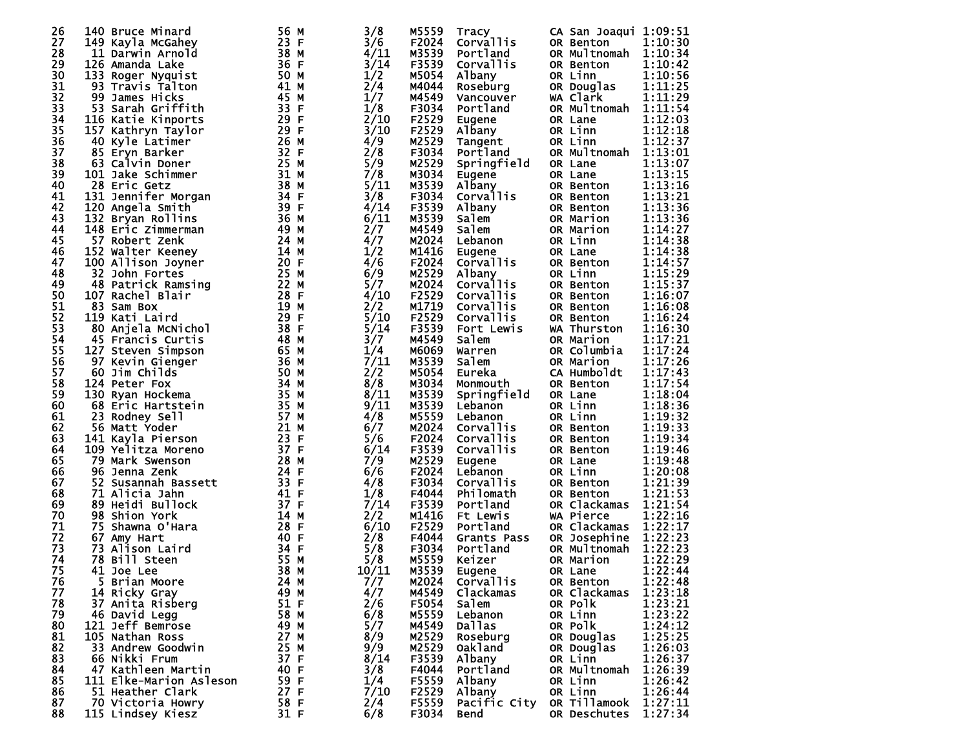| 26 | 140 Bruce Minard        | 56 M    | 3/8   | M5559 | Tracy            | CA San Joaqui 1:09:51 |         |
|----|-------------------------|---------|-------|-------|------------------|-----------------------|---------|
| 27 | 149 Kayla McGahey       | 23 F    | 3/6   | F2024 | <b>Corvallis</b> | OR Benton             | 1:10:30 |
| 28 | 11 Darwin Arnold        | 38 M    | 4/11  | M3539 | Portland         | OR Multnomah          | 1:10:34 |
| 29 | 126 Amanda Lake         | 36 F    | 3/14  | F3539 | Corvallis        | OR Benton             | 1:10:42 |
| 30 | 133 Roger Nyquist       | 50 M    | 1/2   | M5054 | Albany           | OR Linn               | 1:10:56 |
| 31 | 93 Travis Talton        | 41 M    | 2/4   | M4044 |                  |                       | 1:11:25 |
|    |                         |         |       |       | Roseburg         | OR Douglas            |         |
| 32 | 99 James Hicks          | 45 M    | 1/7   | M4549 | Vancouver        | WA Clark              | 1:11:29 |
| 33 | 53 Sarah Griffith       | 33 F    | 1/8   | F3034 | Portland         | OR Multnomah          | 1:11:54 |
| 34 | 116 Katie Kinports      | 29 F    | 2/10  | F2529 | Eugene           | OR Lane               | 1:12:03 |
| 35 | 157 Kathryn Taylor      | 29 F    | 3/10  | F2529 | Albany           | OR Linn               | 1:12:18 |
| 36 | 40 Kyle Latimer         | 26 M    | 4/9   | M2529 | Tangent          | OR Linn               | 1:12:37 |
| 37 | 85 Eryn Barker          | 32 F    | 2/8   | F3034 | Portland         | OR Multnomah          | 1:13:01 |
| 38 | 63 Calvin Doner         | 25 M    | 5/9   | M2529 | Springfield      | OR Lane               | 1:13:07 |
| 39 | 101 Jake Schimmer       | 31 M    | 7/8   | M3034 | Eugene           | OR Lane               | 1:13:15 |
| 40 | 28 Eric Getz            | 38 M    | 5/11  | M3539 | Albany           | OR Benton             | 1:13:16 |
| 41 | 131 Jennifer Morgan     | 34 F    | 3/8   | F3034 | <b>Corvallis</b> | OR Benton             | 1:13:21 |
| 42 | 120 Angela Smith        | 39 F    | 4/14  | F3539 | Albany           | OR Benton             | 1:13:36 |
| 43 | 132 Bryan Rollins       | 36 M    | 6/11  | M3539 | Salem            | OR Marion             | 1:13:36 |
| 44 | 148 Eric Zimmerman      | 49 M    | 2/7   | M4549 | Salem            | OR Marion             | 1:14:27 |
| 45 | 57 Robert Zenk          | 24 M    | 4/7   | M2024 | Lebanon          | OR Linn               | 1:14:38 |
| 46 | 152 Walter Keeney       | 14 M    | 1/2   | M1416 | Eugene           | OR Lane               | 1:14:38 |
| 47 |                         | 20 F    | 4/6   | F2024 | Corvallis        |                       | 1:14:57 |
|    | 100 Allison Joyner      | 25 M    |       |       |                  | OR Benton             |         |
| 48 | 32 John Fortes          |         | 6/9   | M2529 | Albany           | OR Linn               | 1:15:29 |
| 49 | 48 Patrick Ramsing      | 22 M    | 5/7   | M2024 | <b>Corvallis</b> | OR Benton             | 1:15:37 |
| 50 | 107 Rachel Blair        | 28 F    | 4/10  | F2529 | Corvallis        | OR Benton             | 1:16:07 |
| 51 | 83 Sam Box              | 19<br>M | 2/2   | M1719 | <b>Corvallis</b> | OR Benton             | 1:16:08 |
| 52 | 119 Kati Laird          | 29 F    | 5/10  | F2529 | <b>Corvallis</b> | OR Benton             | 1:16:24 |
| 53 | 80 Anjela McNichol      | 38 F    | 5/14  | F3539 | Fort Lewis       | WA Thurston           | 1:16:30 |
| 54 | 45 Francis Curtis       | 48 M    | 3/7   | M4549 | Salem            | OR Marion             | 1:17:21 |
| 55 | 127 Steven Simpson      | 65 M    | 1/4   | M6069 | Warren           | OR Columbia           | 1:17:24 |
| 56 | 97 Kevin Gienger        | 36 M    | 7/11  | M3539 | Salem            | OR Marion             | 1:17:26 |
| 57 | 60 Jim Childs           | 50 M    | 2/2   | M5054 | Eureka           | CA Humboldt           | 1:17:43 |
| 58 | 124 Peter Fox           | 34 M    | 8/8   | M3034 | Monmouth         | OR Benton             | 1:17:54 |
| 59 | 130 Ryan Hockema        | 35 M    | 8/11  | M3539 | Springfield      | OR Lane               | 1:18:04 |
| 60 | 68 Eric Hartstein       | 35 M    | 9/11  | M3539 | Lebanon          | OR Linn               | 1:18:36 |
| 61 | 23 Rodney Sell          | 57 M    | 4/8   | M5559 | Lebanon          | OR Linn               | 1:19:32 |
| 62 | 56 Matt Yoder           | 21 M    | 6/7   | M2024 | <b>Corvallis</b> | OR Benton             | 1:19:33 |
| 63 |                         | 23 F    | 5/6   | F2024 | <b>Corvallis</b> |                       | 1:19:34 |
| 64 | 141 Kayla Pierson       | 37 F    |       |       |                  | OR Benton             | 1:19:46 |
|    | 109 Yelitza Moreno      |         | 6/14  | F3539 | Corvallis        | OR Benton             |         |
| 65 | 79 Mark Swenson         | 28<br>М | 7/9   | M2529 | Eugene           | OR Lane               | 1:19:48 |
| 66 | 96 Jenna Zenk           | 24 F    | 6/6   | F2024 | Lebanon          | OR Linn               | 1:20:08 |
| 67 | 52 Susannah Bassett     | 33 F    | 4/8   | F3034 | Corvallis        | OR Benton             | 1:21:39 |
| 68 | 71 Alicia Jahn          | 41 F    | 1/8   | F4044 | Philomath        | OR Benton             | 1:21:53 |
| 69 | 89 Heidi Bullock        | 37 F    | 7/14  | F3539 | Portland         | OR Clackamas          | 1:21:54 |
| 70 | 98 Shion York           | 14 M    | 2/2   | M1416 | Ft Lewis         | WA Pierce             | 1:22:16 |
| 71 | 75 Shawna O'Hara        | 28<br>F | 6/10  | F2529 | Portland         | OR Clackamas          | 1:22:17 |
| 72 | 67<br>Amy Hart          | 40 F    | 2/8   | F4044 | Grants Pass      | OR Josephine          | 1:22:23 |
| 73 | 73 Alison Laird         | 34 F    | 5/8   | F3034 | Portland         | OR Multnomah          | 1:22:23 |
| 74 | 78 Bill Steen           | 55 M    | 5/8   | M5559 | Keizer           | OR Marion             | 1:22:29 |
| 75 | <b>41 Joe Lee</b>       | 38 M    | 10/11 | M3539 | Eugene           | OR Lane               | 1:22:44 |
| 76 | 5 Brian Moore           | 24 M    | 7/7   | M2024 | Corvallis        | OR Benton             | 1:22:48 |
| 77 | 14 Ricky Gray           | 49 M    | 4/7   | M4549 | Clackamas        | OR Clackamas          | 1:23:18 |
| 78 | 37 Anita Risberg        | 51 F    | 2/6   | F5054 | Salem            | OR Polk               | 1:23:21 |
| 79 | 46 David Legg           | 58 M    | 6/8   | M5559 | Lebanon          | OR Linn               | 1:23:22 |
| 80 | 121 Jeff Bemrose        | 49 M    | 5/7   | M4549 | Dallas           | OR Polk               | 1:24:12 |
|    | 105 Nathan Ross         |         |       |       |                  |                       | 1:25:25 |
| 81 |                         | 27 M    | 8/9   | M2529 | Roseburg         | OR Douglas            |         |
| 82 | 33 Andrew Goodwin       | 25 M    | 9/9   | M2529 | Oakland          | OR Douglas            | 1:26:03 |
| 83 | 66 Nikki Frum           | 37 F    | 8/14  | F3539 | Albany           | OR Linn               | 1:26:37 |
| 84 | 47 Kathleen Martin      | 40 F    | 3/8   | F4044 | Portland         | OR Multnomah          | 1:26:39 |
| 85 | 111 Elke-Marion Asleson | 59 F    | 1/4   | F5559 | Albany           | OR Linn               | 1:26:42 |
| 86 | 51 Heather Clark        | 27 F    | 7/10  | F2529 | Albany           | OR Linn               | 1:26:44 |
| 87 | 70 Victoria Howry       | 58 F    | 2/4   | F5559 | Pacific City     | OR Tillamook          | 1:27:11 |
| 88 | 115 Lindsey Kiesz       | 31 F    | 6/8   | F3034 | Bend             | OR Deschutes          | 1:27:34 |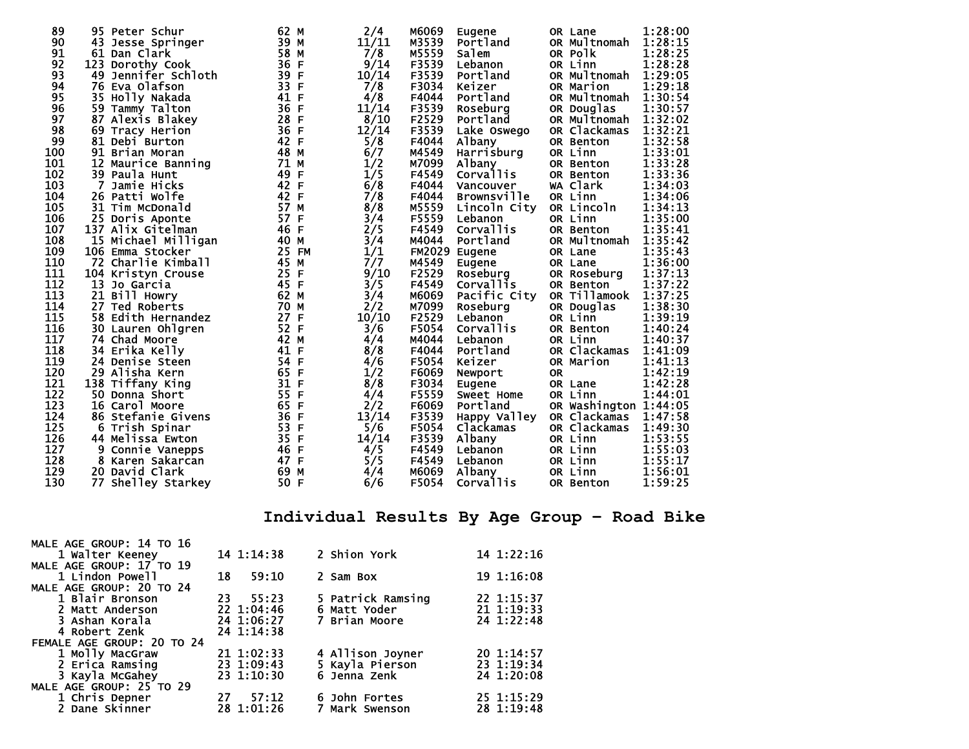| 89  | 95 Peter Schur           | 62 M            | 2/4   | M6069         | Eugene                       |           | OR Lane       | 1:28:00 |
|-----|--------------------------|-----------------|-------|---------------|------------------------------|-----------|---------------|---------|
| 90  | 43 Jesse Springer        | 39 M            | 11/11 | M3539         | Portland                     |           | OR Multnomah  | 1:28:15 |
| 91  | 61 Dan Clark             | 58 M            | 7/8   | M5559         | Salem                        |           | OR Polk       | 1:28:25 |
| 92  | 123 Dorothy Cook         | 36 F            | 9/14  | F3539         | Lebanon                      |           | OR Linn       | 1:28:28 |
| 93  | 49<br>Jennifer Schloth   | 39<br>F         | 10/14 | F3539         | Portland                     |           | OR Multnomah  | 1:29:05 |
| 94  | 76 Eva Olafson           | 33<br>F         | 7/8   | F3034         | Keizer                       |           | OR Marion     | 1:29:18 |
| 95  | 35 Holly Nakada          | 41<br>F         | 4/8   | F4044         | Portland                     |           | OR Multnomah  | 1:30:54 |
| 96  | 59 Tammy Talton          | 36<br>F         | 11/14 | F3539         | Roseburg                     |           | OR Douglas    | 1:30:57 |
| 97  | 87<br>Alexis Blakey      | 28<br>F         | 8/10  | F2529         | Portland                     |           | OR Multnomah  | 1:32:02 |
| 98  | 69 Tracy Herion          | 36 F            | 12/14 | F3539         | Lake Oswego                  |           | OR Clackamas  | 1:32:21 |
| 99  | 81 Debi Burton           | 42 F            | 5/8   | F4044         | Albany                       |           | OR Benton     | 1:32:58 |
| 100 | 91 Brian Moran           | 48 M            | 6/7   | M4549         | Harrisburg                   |           | OR Linn       | 1:33:01 |
| 101 | 12 Maurice Banning       | 71<br>M         | 1/2   | M7099         | <b>Albany</b>                |           | OR Benton     | 1:33:28 |
| 102 | 39 Paula Hunt            | 49<br>F         | 1/5   | F4549         | <b>Corvallis</b>             |           | OR Benton     | 1:33:36 |
| 103 | 7<br>Jamie Hicks         | 42 F            | 6/8   | F4044         | Vancouver                    |           | WA Clark      | 1:34:03 |
| 104 | 26 Patti Wolfe           | 42 F            | 7/8   | F4044         | <b>Brownsville</b>           |           | OR Linn       | 1:34:06 |
| 105 | 31 Tim McDonald          | 57 M            | 8/8   | M5559         | Lincoln City                 |           | OR Lincoln    | 1:34:13 |
| 106 | 25 Doris Aponte          | 57<br>F         | 3/4   | F5559         | Lebanon                      |           | OR Linn       | 1:35:00 |
| 107 | 137 Alix Gitelman        | 46 F            | 2/5   | F4549         | <b>Corvallis</b>             |           | OR Benton     | 1:35:41 |
| 108 | 15 Michael Milligan      | 40 M            | 3/4   | M4044         | Portland                     |           | OR Multnomah  | 1:35:42 |
| 109 | 106 Emma Stocker         | 25<br><b>FM</b> | 1/1   | FM2029 Eugene |                              |           | OR Lane       | 1:35:43 |
| 110 | 72 Charlie Kimball       | 45<br>M         | 7/7   | M4549         |                              |           |               | 1:36:00 |
| 111 |                          | 25<br>F         | 9/10  | F2529         | Eugene                       |           | OR Lane       | 1:37:13 |
| 112 | 104 Kristyn Crouse<br>13 | 45 F            |       | F4549         | Roseburg<br><b>Corvallis</b> |           | OR Roseburg   | 1:37:22 |
|     | Jo Garcia                |                 | 3/5   |               |                              |           | OR Benton     |         |
| 113 | 21 Bill Howry            | 62 M            | 3/4   | M6069         | Pacific City                 |           | OR Tillamook  | 1:37:25 |
| 114 | 27 Ted Roberts           | 70<br>M         | 2/2   | M7099         | Roseburg                     |           | OR Douglas    | 1:38:30 |
| 115 | 58 Edith Hernandez       | 27<br>F         | 10/10 | F2529         | Lebanon                      |           | OR Linn       | 1:39:19 |
| 116 | 30 Lauren Ohlgren        | 52 F            | 3/6   | F5054         | <b>Corvallis</b>             |           | OR Benton     | 1:40:24 |
| 117 | 74 Chad Moore            | 42 M            | 4/4   | M4044         | Lebanon                      |           | OR Linn       | 1:40:37 |
| 118 | 34 Erika Kelly           | 41<br>F         | 8/8   | F4044         | Portland                     |           | OR Clackamas  | 1:41:09 |
| 119 | 24 Denise Steen          | 54 F            | 4/6   | F5054         | Keizer                       |           | OR Marion     | 1:41:13 |
| 120 | 29 Alisha Kern           | 65<br>F         | 1/2   | F6069         | Newport                      | <b>OR</b> |               | 1:42:19 |
| 121 | 138 Tiffany King         | 31<br>F         | 8/8   | F3034         | Eugene                       |           | OR Lane       | 1:42:28 |
| 122 | 50 Donna Short           | 55<br>F         | 4/4   | F5559         | Sweet Home                   |           | OR Linn       | 1:44:01 |
| 123 | 16 Carol Moore           | 65<br>F         | 2/2   | F6069         | Portland                     |           | OR Washington | 1:44:05 |
| 124 | 86 Stefanie Givens       | 36<br>F         | 13/14 | F3539         | Happy Valley                 |           | OR Clackamas  | 1:47:58 |
| 125 | 6 Trish Spinar           | 53<br>F         | 5/6   | F5054         | Clackamas                    |           | OR Clackamas  | 1:49:30 |
| 126 | 44 Melissa Ewton         | 35<br>F         | 14/14 | F3539         | <b>Albany</b>                |           | OR Linn       | 1:53:55 |
| 127 | 9<br>Connie Vanepps      | 46 F            | 4/5   | F4549         | Lebanon                      |           | OR Linn       | 1:55:03 |
| 128 | 8<br>Karen Sakarcan      | 47 F            | 5/5   | F4549         | Lebanon                      |           | OR Linn       | 1:55:17 |
| 129 | 20 David Clark           | 69<br>M         | 4/4   | M6069         | Albany                       |           | OR Linn       | 1:56:01 |
| 130 | 77 Shelley Starkey       | 50 F            | 6/6   | F5054         | <b>Corvallis</b>             |           | OR Benton     | 1:59:25 |

# **Individual Results By Age Group – Road Bike**

| MALE AGE GROUP: 14 TO 16   |             |                   |            |
|----------------------------|-------------|-------------------|------------|
| 1 Walter Keeney            | 14 1:14:38  | 2 Shion York      | 14 1:22:16 |
| MALE AGE GROUP: 17 TO 19   |             |                   |            |
| 1 Lindon Powell            | 59:10<br>18 | 2 Sam Box         | 19 1:16:08 |
| MALE AGE GROUP: 20 TO 24   |             |                   |            |
| 1 Blair Bronson            | 23 55:23    | 5 Patrick Ramsing | 22 1:15:37 |
| 2 Matt Anderson            | 22 1:04:46  | 6 Matt Yoder      | 21 1:19:33 |
| 3 Ashan Korala             | 24 1:06:27  | 7 Brian Moore     | 24 1:22:48 |
| 4 Robert Zenk              | 24 1:14:38  |                   |            |
| FEMALE AGE GROUP: 20 TO 24 |             |                   |            |
| 1 Molly MacGraw            | 21 1:02:33  | 4 Allison Joyner  | 20 1:14:57 |
| 2 Erica Ramsing            | 23 1:09:43  | 5 Kayla Pierson   | 23 1:19:34 |
| 3 Kayla McGahey            | 23 1:10:30  | 6 Jenna Zenk      | 24 1:20:08 |
| MALE AGE GROUP: 25 TO 29   |             |                   |            |
| 1 Chris Depner             | 57:12<br>27 | 6 John Fortes     | 25 1:15:29 |
| 2 Dane Skinner             | 28 1:01:26  | 7 Mark Swenson    | 28 1:19:48 |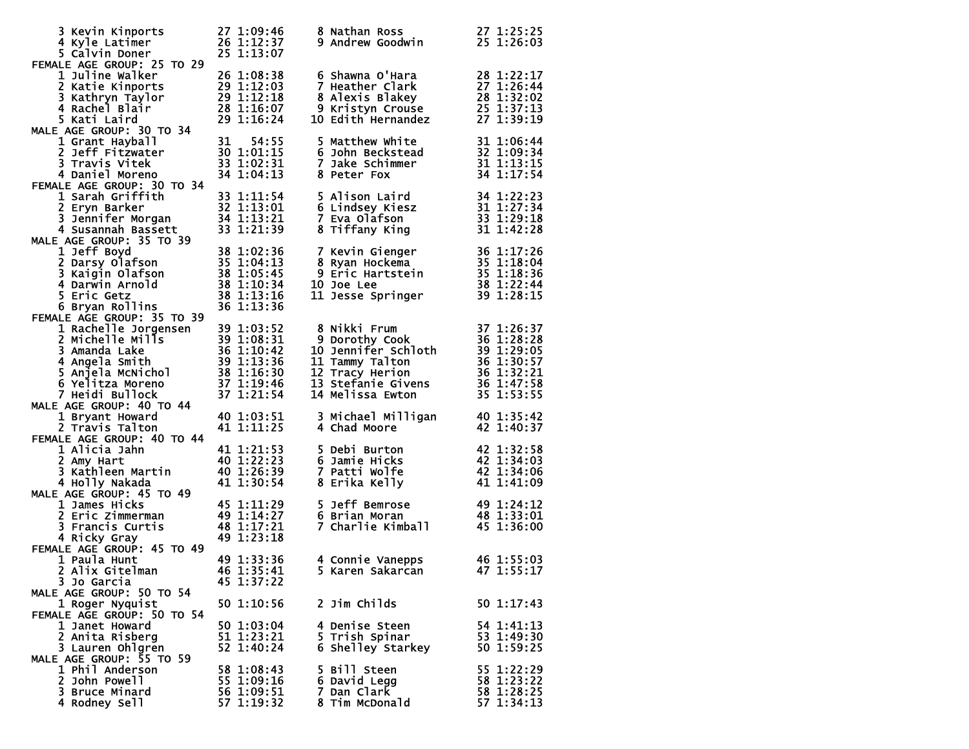| 3 Kevin Kinports<br>4 Kyle Latimer                                                                                                                                    | 27 1:09:46<br>26 1:12:37               |            | 8 Nathan Ross<br><b>9 Andrew Goodwin</b>                                                | 27 1:25:25<br>25 1:26:03             |
|-----------------------------------------------------------------------------------------------------------------------------------------------------------------------|----------------------------------------|------------|-----------------------------------------------------------------------------------------|--------------------------------------|
| 5 Calvin Doner<br>FEMALE AGE GROUP: 25 TO 29                                                                                                                          | 25 1:13:07                             |            |                                                                                         |                                      |
| <b>1 Juline Walker</b>                                                                                                                                                | 26 1:08:38                             |            | 6 Shawna O'Hara                                                                         | 28 1:22:17                           |
| 2 Katie Kinports                                                                                                                                                      | 20 1:08:38<br>29 1:12:03<br>29 1:12:18 |            | 7 Heather Clark<br>8 Alexis Blakey                                                      | 27 1:26:44<br>$28\overline{1:32:02}$ |
| 3 Kathryn Taylor<br>4 Rachel Blair                                                                                                                                    | 28 1:16:07                             |            | 9 Kristyn Crouse                                                                        | 25 1:37:13                           |
| 5 Kati Laird                                                                                                                                                          | 29 1:16:24                             |            | <b>10 Edith Hernandez</b>                                                               | 27 1:39:19                           |
| MALE AGE GROUP: 30 TO 34                                                                                                                                              |                                        |            |                                                                                         |                                      |
| 1 Grant Hayball                                                                                                                                                       | 31                                     | 54:55      | 5 Matthew White                                                                         | 31 1:06:44                           |
| 2 Jeff Fitzwater                                                                                                                                                      | 30 1:01:15                             |            | 6 John Beckstead                                                                        | 32 1:09:34                           |
| 3 Travis Vitek                                                                                                                                                        | 33 1:02:31                             |            | 7 Jake Schimmer                                                                         | 31 1:13:15                           |
| 4 Daniel Moreno                                                                                                                                                       | 34 1:04:13                             |            | 8 Peter Fox                                                                             | 34 1:17:54                           |
| FEMALE AGE GROUP: 30 TO 34<br>1 Sarah Griffith                                                                                                                        | 33 1:11:54                             |            | 5 Alison Laird                                                                          |                                      |
| 2 Eryn Barker                                                                                                                                                         | 32 1:13:01                             |            | 6 Lindsey Kiesz                                                                         | 34 1:22:23<br>31 1:27:34             |
| 3 Jennifer Morgan                                                                                                                                                     | 34 1:13:21                             |            | 7 Eva Olafson                                                                           | 33 1:29:18                           |
| 4 Susannah Bassett                                                                                                                                                    | 33 1:21:39                             |            | 8 Tiffany King                                                                          | 31 1:42:28                           |
| MALE AGE GROUP: 35 TO 39                                                                                                                                              |                                        |            |                                                                                         |                                      |
| 1 Jeff Boyd                                                                                                                                                           | 38 1:02:36                             |            | 7 Kevin Gienger<br>8 Ryan Hockema<br>9 Eric Hartstein<br>9 Eric Hartstein<br>35 1:18:36 |                                      |
|                                                                                                                                                                       | 35 1:04:13                             |            |                                                                                         |                                      |
|                                                                                                                                                                       | 38 1:05:45                             |            |                                                                                         |                                      |
|                                                                                                                                                                       | 38 1:10:34                             |            | <b>10 Joe Lee</b>                                                                       | 38 1:22:44<br>39 1:28:15             |
|                                                                                                                                                                       | 38 1:13:16<br>36 1:13:36               |            | 11 Jesse Springer                                                                       |                                      |
| <b>L Darsy Olafson<br/>3 Kaigin Olafson<br/>4 Darwin Arnold<br/>5 Eric Getz<br/>6 Bryan Rollins<br/>LE AGE GROUP: 25</b><br>FEMALE AGE GROUP: 35 TO 39                |                                        |            |                                                                                         |                                      |
| 1 Rachelle Jorgensen                                                                                                                                                  | 39 1:03:52                             |            | 8 Nikki Frum                                                                            | 37 1:26:37                           |
|                                                                                                                                                                       |                                        |            | 9 Dorothy Cook                                                                          | 36 1:28:28                           |
| 2 michelle Mills<br>3 Amanda Lake<br>3 1:08:31<br>3 Amanda Lake<br>4 Angela Smith<br>5 Anjela McNichol<br>6 Yelitza Morores<br>6 Yelitza Morores<br>6 Yelitza Morores |                                        |            | <b>10 Jennifer Schloth</b>                                                              | 39 1:29:05                           |
|                                                                                                                                                                       |                                        |            | 11 Tammy Talton                                                                         | 36 1:30:57                           |
|                                                                                                                                                                       |                                        |            | 12 Tracy Herion                                                                         | 36 1:32:21                           |
| 6 Yelitza Moreno                                                                                                                                                      | 37 1:19:46                             |            | 13 Stefanie Givens                                                                      | 36 1:47:58                           |
| 7 Heidi Bullock<br>MALE AGE GROUP: 40 TO 44                                                                                                                           | 37 1:21:54                             |            | 14 Melissa Ewton                                                                        | 35 1:53:55                           |
| 1 Bryant Howard                                                                                                                                                       | 40 1:03:51                             |            | 3 Michael Milligan                                                                      | 40 1:35:42                           |
| 2 Travis Talton                                                                                                                                                       | 41 1:11:25                             |            | 4 Chad Moore                                                                            | 42 1:40:37                           |
| FEMALE AGE GROUP: 40 TO 44                                                                                                                                            |                                        |            |                                                                                         |                                      |
| 1 Alicia Jahn                                                                                                                                                         | 41 1:21:53                             |            | 5 Debi Burton                                                                           | 42 1:32:58                           |
| 2 Amy Hart                                                                                                                                                            | 40 1:22:23                             |            | 6 Jamie Hicks                                                                           | 42 1:34:03                           |
| 3 Kathleen Martin                                                                                                                                                     | 40 1:26:39                             |            | 7 Patti Wolfe                                                                           | 42 1:34:06                           |
| 4 Holly Nakada<br>MALE AGE GROUP: 45 TO 49                                                                                                                            | 41 1:30:54                             |            | 8 Erika Kelly                                                                           | 41 1:41:09                           |
| 1 James Hicks                                                                                                                                                         | 45 1:11:29                             |            | 5 Jeff Bemrose                                                                          | 49 1:24:12                           |
| 2 Eric Zimmerman                                                                                                                                                      | 49 1:14:27                             |            | 6 Brian Moran                                                                           | 48 1:33:01                           |
| 3 Francis Curtis                                                                                                                                                      | 48 1:17:21                             |            | o srian Moran<br>7 Charlie Kimball                                                      | 45 1:36:00                           |
| 4 Ricky Gray                                                                                                                                                          | 49 1:23:18                             |            |                                                                                         |                                      |
| FEMALE AGE GROUP: 45 TO 49                                                                                                                                            |                                        |            |                                                                                         |                                      |
| 1 Paula Hunt                                                                                                                                                          | 49 1:33:36                             |            | 4 Connie Vanepps                                                                        | 46 1:55:03                           |
| 2 Alix Gitelman                                                                                                                                                       |                                        | 46 1:35:41 | 5 Karen Sakarcan                                                                        | 47 1:55:17                           |
| 3 Jo Garcia<br>MALE AGE GROUP: 50 TO 54                                                                                                                               | 45 1:37:22                             |            |                                                                                         |                                      |
| 1 Roger Nyquist                                                                                                                                                       | 50 1:10:56                             |            | 2 Jim Childs                                                                            | 50 1:17:43                           |
| FEMALE AGE GROUP: 50 TO 54                                                                                                                                            |                                        |            |                                                                                         |                                      |
| 1 Janet Howard                                                                                                                                                        | 50 1:03:04                             |            | 4 Denise Steen                                                                          | 54 1:41:13                           |
| 2 Anita Risberg                                                                                                                                                       | 51 1:23:21                             |            | 5 Trish Spinar                                                                          | 53 1:49:30                           |
| 3 Lauren Ohlgren                                                                                                                                                      | 52 1:40:24                             |            | 6 Shelley Starkey                                                                       | 50 1:59:25                           |
| MALE AGE GROUP: 55 TO 59                                                                                                                                              |                                        |            |                                                                                         |                                      |
| 1 Phil Anderson<br>2 John Powell                                                                                                                                      | 58 1:08:43<br>55 1:09:16               |            | 5 Bill Steen<br>6 David Legg                                                            | 55 1:22:29<br>58 1:23:22             |
| 3 Bruce Minard                                                                                                                                                        | 56 1:09:51                             |            | 7 Dan Clark                                                                             | 58 1:28:25                           |
| 4 Rodney Sell                                                                                                                                                         | 57 1:19:32                             |            | 8 Tim McDonald                                                                          | 57 1:34:13                           |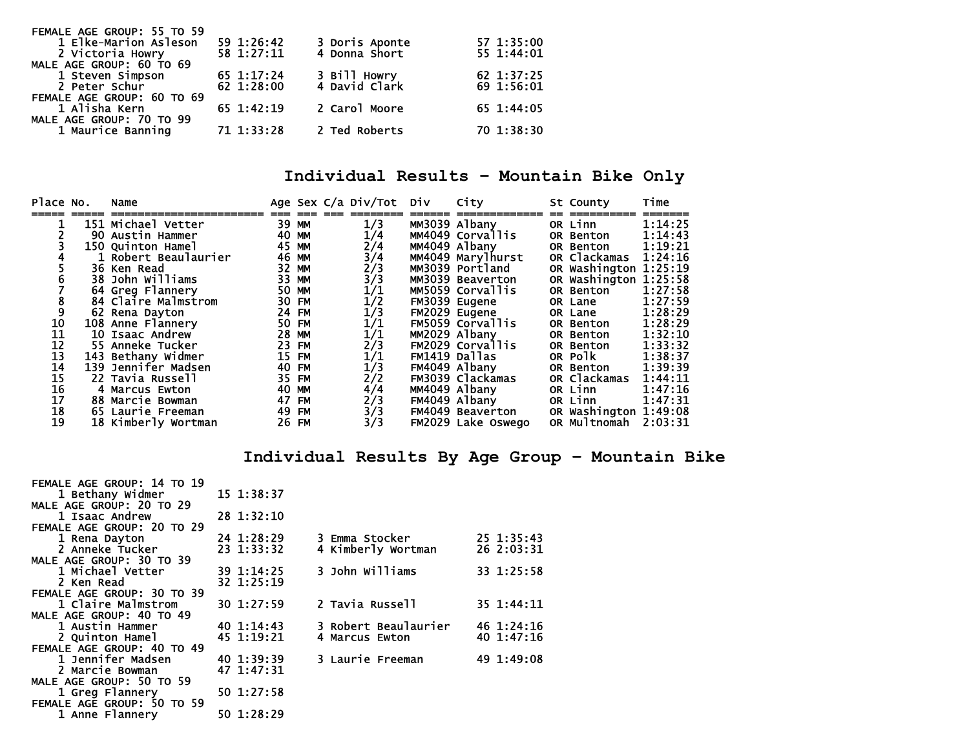| FEMALE AGE GROUP: 55 TO 59 |            |                               |            |
|----------------------------|------------|-------------------------------|------------|
| 1 Elke-Marion Asleson      | 59 1:26:42 | 3 Doris Aponte                | 57 1:35:00 |
| 2 Victoria Howry           | 58 1:27:11 | 4 Donna Short                 | 55 1:44:01 |
| MALE AGE GROUP: 60 TO 69   |            |                               |            |
| 1 Steven Simpson           | 65 1:17:24 | 3 Bill Howry<br>4 David Clark | 62 1:37:25 |
| 2 Peter Schur              | 62 1:28:00 |                               | 69 1:56:01 |
| FEMALE AGE GROUP: 60 TO 69 |            |                               |            |
| 1 Alisha Kern              | 65 1:42:19 | 2 Carol Moore                 | 65 1:44:05 |
| MALE AGE GROUP: 70 TO 99   |            |                               |            |
| 1 Maurice Banning          | 71 1:33:28 | 2 Ted Roberts                 | 70 1:38:30 |
|                            |            |                               |            |

## **Individual Results – Mountain Bike Only**

| Place No. | Name                 |       |       | Age Sex C/a Div/Tot Div                                          | City                    | St County             | Time    |
|-----------|----------------------|-------|-------|------------------------------------------------------------------|-------------------------|-----------------------|---------|
|           |                      |       |       |                                                                  |                         |                       |         |
|           | 151 Michael Vetter   |       | 39 MM | 1/3                                                              | MM3039 Albany           | OR Linn               | 1:14:25 |
|           | 90 Austin Hammer     | 40 MM |       | 1/4                                                              | MM4049 Corvallis        | OR Benton             | 1:14:43 |
|           | 150 Ouinton Hamel    |       | 45 MM |                                                                  | MM4049 Albany           | OR Benton             | 1:19:21 |
|           | 1 Robert Beaulaurier |       | 46 MM |                                                                  | MM4049 Marylhurst       | OR Clackamas          | 1:24:16 |
|           | 36 Ken Read          |       | 32 MM |                                                                  | MM3039 Portland         | OR Washington 1:25:19 |         |
|           | 38 John Williams     |       | 33 MM |                                                                  | MM3039 Beaverton        | OR Washington 1:25:58 |         |
|           | 64 Greg Flannery     |       | 50 MM |                                                                  | MM5059 Corvallis        | OR Benton             | 1:27:58 |
|           | 84 Claire Malmstrom  |       | 30 FM |                                                                  | FM3039 Eugene           | OR Lane               | 1:27:59 |
|           | 62 Rena Dayton       |       | 24 FM |                                                                  | FM2029 Eugene           | OR Lane               | 1:28:29 |
| 10        | 108 Anne Flannery    |       | 50 FM | 2/4<br>3/4<br>2/3<br>3/1<br>1/2<br>1/1<br>1/1<br>1/1             | FM5059 Corvallis        | OR Benton             | 1:28:29 |
| 11        | 10 Isaac Andrew      |       | 28 MM | 1/1                                                              | MM2029 Albany           | OR Benton             | 1:32:10 |
| 12        | 55 Anneke Tucker     |       | 23 FM | $\frac{2}{3}$<br>$\frac{1}{1}$<br>$\frac{1}{3}$                  | <b>FM2029 Corvallis</b> | OR Benton             | 1:33:32 |
| 13        | 143 Bethany Widmer   |       | 15 FM |                                                                  | FM1419 Dallas           | OR Polk               | 1:38:37 |
| 14        | 139 Jennifer Madsen  |       | 40 FM |                                                                  | FM4049 Albany           | OR Benton             | 1:39:39 |
| 15        | 22 Tavia Russell     |       | 35 FM | 2/2                                                              | FM3039 Clackamas        | OR Clackamas          | 1:44:11 |
| 16        | 4 Marcus Ewton       | 40 MM |       |                                                                  | MM4049 Albany           | OR Linn               | 1:47:16 |
| 17        | 88 Marcie Bowman     |       | 47 FM |                                                                  | FM4049 Albany           | OR Linn               | 1:47:31 |
| 18        | 65 Laurie Freeman    |       | 49 FM |                                                                  | FM4049 Beaverton        | OR Washington 1:49:08 |         |
| 19        | 18 Kimberly Wortman  | 26 FM |       | $\frac{4}{3}$<br>$\frac{2}{3}$<br>$\frac{3}{3}$<br>$\frac{3}{3}$ | FM2029 Lake Oswego      | OR Multnomah          | 2:03:31 |

## **Individual Results By Age Group – Mountain Bike**

| FEMALE AGE GROUP: 14 TO 19 |            |                      |            |
|----------------------------|------------|----------------------|------------|
| 1 Bethany Widmer           | 15 1:38:37 |                      |            |
| MALE AGE GROUP: 20 TO 29   |            |                      |            |
| 1 Isaac Andrew             | 28 1:32:10 |                      |            |
| FEMALE AGE GROUP: 20 TO 29 |            |                      |            |
| 1 Rena Dayton              | 24 1:28:29 | 3 Emma Stocker       | 25 1:35:43 |
| 2 Anneke Tucker            | 23 1:33:32 | 4 Kimberly Wortman   | 26 2:03:31 |
| MALE AGE GROUP: 30 TO 39   |            |                      |            |
| 1 Michael Vetter           | 39 1:14:25 | 3 John Williams      | 33 1:25:58 |
| 2 Ken Read                 | 32 1:25:19 |                      |            |
| FEMALE AGE GROUP: 30 TO 39 |            |                      |            |
| 1 Claire Malmstrom         | 30 1:27:59 | 2 Tavia Russell      | 35 1:44:11 |
| MALE AGE GROUP: 40 TO 49   |            |                      |            |
| 1 Austin Hammer            | 40 1:14:43 | 3 Robert Beaulaurier | 46 1:24:16 |
| 2 Quinton Hamel            | 45 1:19:21 | 4 Marcus Ewton       | 40 1:47:16 |
| FEMALE AGE GROUP: 40 TO 49 |            |                      |            |
| 1 Jennifer Madsen          | 40 1:39:39 | 3 Laurie Freeman     | 49 1:49:08 |
| 2 Marcie Bowman            | 47 1:47:31 |                      |            |
| MALE AGE GROUP: 50 TO 59   |            |                      |            |
| 1 Greg Flannery            | 50 1:27:58 |                      |            |
| FEMALE AGE GROUP: 50 TO 59 |            |                      |            |

1 Anne Flannery 50 1:28:29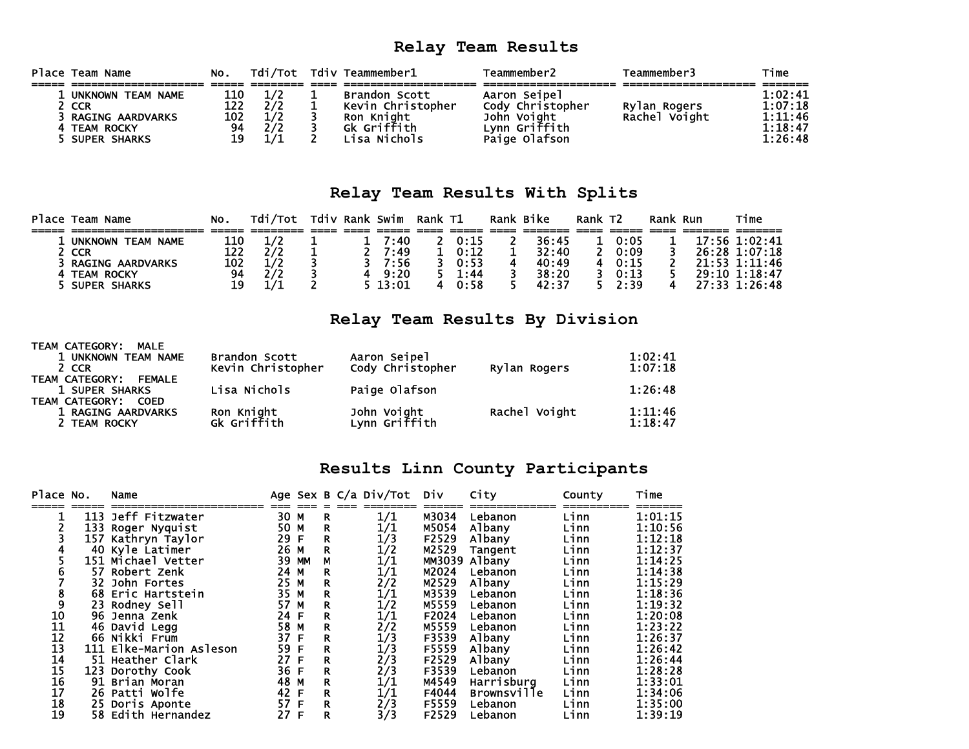## **Relay Team Results**

| Place Team Name         | No. |  | Tdi/Tot Tdiv Teammember1 | Teammember2      | Teammember3   | Time    |
|-------------------------|-----|--|--------------------------|------------------|---------------|---------|
|                         |     |  |                          |                  |               |         |
| UNKNOWN TEAM NAME       | 110 |  | <b>Brandon Scott</b>     | Aaron Seipel     |               | 1:02:41 |
| 2 CCR                   | 122 |  | Kevin Christopher        | Cody Christopher | Rylan Rogers  | 1:07:18 |
| <b>RAGING AARDVARKS</b> | 102 |  | Ron Knight               | John Voiaht      | Rachel Voight | 1:11:46 |
| 4 TEAM ROCKY            | 94  |  | Gk Griffith              | Lvnn Griffith    |               | 1:18:47 |
| <b>SUPER SHARKS</b>     | 19  |  | isa Nichols.             | Paige Olafson    |               | 1:26:48 |

#### **Relay Team Results With Splits**

| Place Team Name                    | No. | Tdi/Tot |  | Tdiv Rank Swim | Rank T1 |      | Rank Bike | Rank T2 |      | Rank Run | Time          |
|------------------------------------|-----|---------|--|----------------|---------|------|-----------|---------|------|----------|---------------|
|                                    |     |         |  |                |         |      |           |         |      |          |               |
| <b>TEAM NAME</b><br><b>UNKNOWN</b> | 110 | 1/2     |  | 7:40           |         | 0:15 | 36:45     |         | 0:05 |          | 17:56 1:02:41 |
| 2 CCR                              | 122 |         |  | 7:49           |         | 0:12 | 32:40     |         | 0:09 |          | 26:28 1:07:18 |
| <b>RAGING AARDVARKS</b>            | 102 | 1/2     |  | 7:56           |         | 0:53 | 40:49     |         | 0:15 |          | 21:53 1:11:46 |
| 4 TEAM ROCKY                       | 94  | 2/2     |  | 9:20           |         | 1:44 | 38:20     |         | 0:13 |          | 29:10 1:18:47 |
| <b>SUPER SHARKS</b>                | 19  |         |  | 13:01          | 4       | 0:58 | 42:37     |         | 2:39 |          | 27:33 1:26:48 |

## **Relay Team Results By Division**

| TEAM CATEGORY:<br>MALE<br>1 UNKNOWN TEAM NAME<br>2 CCR                                           | Brandon Scott<br>Kevin Christopher | Aaron Seipel<br>Cody Christopher | Rylan Rogers  | 1:02:41<br>1:07:18 |
|--------------------------------------------------------------------------------------------------|------------------------------------|----------------------------------|---------------|--------------------|
| <b>TEAM CATEGORY:</b><br><b>FEMALE</b><br>1 SUPER SHARKS<br><b>TEAM CATEGORY:</b><br><b>COED</b> | Lisa Nichols                       | Paige Olafson                    |               | 1:26:48            |
| 1 RAGING AARDVARKS<br>2 TEAM ROCKY                                                               | Ron Knight<br>Gk Griffith          | John Voight<br>Lynn Griffith     | Rachel Voight | 1:11:46<br>1:18:47 |

## **Results Linn County Participants**

| Place No. |      | Name                    |      |       |             | Age Sex B C/a Div/Tot Div |       | City               | County | Time    |
|-----------|------|-------------------------|------|-------|-------------|---------------------------|-------|--------------------|--------|---------|
|           | 113  | Jeff Fitzwater          | 30 M |       | R.          | 1/1                       | M3034 | Lebanon            | Linn   | 1:01:15 |
|           |      | 133 Roger Nyquist       | 50 M |       | R           | 1/1                       | M5054 | Albany             | Linn   | 1:10:56 |
|           | 157. | Kathryn Taylor          | 29 F |       | $\mathbf R$ | 1/3                       | F2529 | Albany             | Linn   | 1:12:18 |
|           |      | 40 Kyle Latimer         | 26 M |       | R           | 1/2                       | M2529 | Tangent            | Linn   | 1:12:37 |
|           |      | 151 Michael Vetter      |      | 39 MM | М           | $1\!/1$                   |       | MM3039 Albany      | Linn   | 1:14:25 |
|           |      | 57 Robert Zenk          | 24 M |       | R           | 1/1                       | M2024 | Lebanon            | Linn   | 1:14:38 |
|           | 32   | John Fortes             | 25 M |       | R           | 2/2                       | M2529 | Albany             | Linn   | 1:15:29 |
|           |      | 68 Eric Hartstein       | 35 M |       | R           | 1/1                       | M3539 | Lebanon            | Linn   | 1:18:36 |
|           |      | 23 Rodney Sell          | 57 M |       | R           | 1/2                       | M5559 | Lebanon            | Linn   | 1:19:32 |
| 10        |      | 96 Jenna Zenk           | 24 F |       | R           | 1/1                       | F2024 | Lebanon            | Linn   | 1:20:08 |
| 11        |      | 46 David Legg           | 58 M |       | R           | 2/2                       | M5559 | Lebanon            | Linn   | 1:23:22 |
| 12        |      | 66 Nikki Frum           | 37 F |       | R           | 1/3                       | F3539 | Albany             | Linn   | 1:26:37 |
| 13        |      | 111 Elke-Marion Asleson | 59 F |       | R           | 1/3                       | F5559 | Albany             | Linn   | 1:26:42 |
| 14        |      | 51 Heather Clark        | 27 F |       | R           | 2/3                       | F2529 | Albany             | Linn   | 1:26:44 |
| 15        |      | 123 Dorothy Cook        | 36 F |       | R           | 2/3                       | F3539 | Lebanon            | Linn   | 1:28:28 |
| 16        |      | 91 Brian Moran          | 48 M |       | R           | 1/1                       | M4549 | Harrisburg         | Linn   | 1:33:01 |
| 17        |      | 26 Patti Wolfe          | 42 F |       | R           | $1\!/1$                   | F4044 | <b>Brownsville</b> | Linn   | 1:34:06 |
| 18        |      | 25 Doris Aponte         | 57 F |       | R           | 2/3                       | F5559 | Lebanon            | Linn   | 1:35:00 |
| 19        |      | 58 Edith Hernandez      | 27 F |       |             | 3/3                       | F2529 | Lebanon            | Linn   | 1:39:19 |